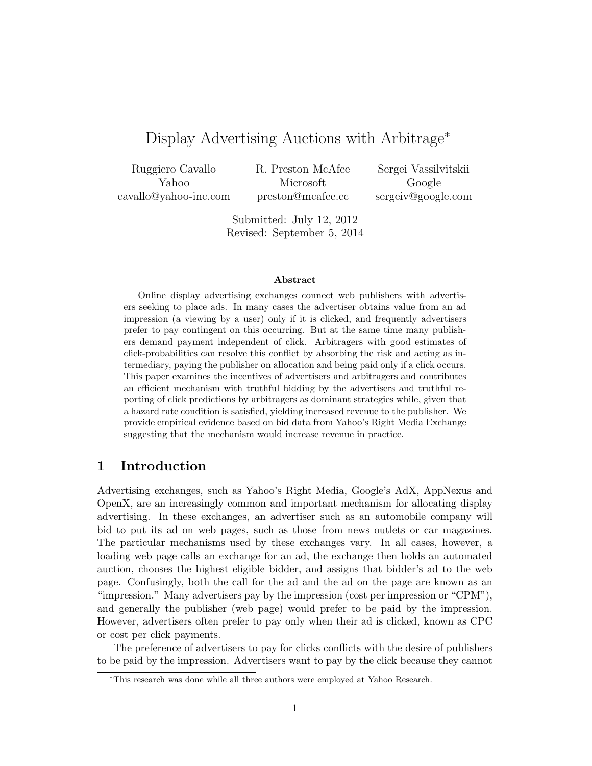# Display Advertising Auctions with Arbitrage<sup>∗</sup>

| Ruggiero Cavallo      | R. Preston McAfee | Sergei Vassilvitskii |
|-----------------------|-------------------|----------------------|
| Yahoo -               | Microsoft         | <b>Coogle</b>        |
| cavallo@yahoo-inc.com | preston@mcafee.cc | sergeiv@google.com   |

Submitted: July 12, 2012 Revised: September 5, 2014

#### **Abstract**

Online display advertising exchanges connect web publishers with advertisers seeking to place ads. In many cases the advertiser obtains value from an ad impression (a viewing by a user) only if it is clicked, and frequently advertisers prefer to pay contingent on this occurring. But at the same time many publishers demand payment independent of click. Arbitragers with good estimates of click-probabilities can resolve this conflict by absorbing the risk and acting as intermediary, paying the publisher on allocation and being paid only if a click occurs. This paper examines the incentives of advertisers and arbitragers and contributes an efficient mechanism with truthful bidding by the advertisers and truthful reporting of click predictions by arbitragers as dominant strategies while, given that a hazard rate condition is satisfied, yielding increased revenue to the publisher. We provide empirical evidence based on bid data from Yahoo's Right Media Exchange suggesting that the mechanism would increase revenue in practice.

### **1 Introduction**

Advertising exchanges, such as Yahoo's Right Media, Google's AdX, AppNexus and OpenX, are an increasingly common and important mechanism for allocating display advertising. In these exchanges, an advertiser such as an automobile company will bid to put its ad on web pages, such as those from news outlets or car magazines. The particular mechanisms used by these exchanges vary. In all cases, however, a loading web page calls an exchange for an ad, the exchange then holds an automated auction, chooses the highest eligible bidder, and assigns that bidder's ad to the web page. Confusingly, both the call for the ad and the ad on the page are known as an "impression." Many advertisers pay by the impression (cost per impression or "CPM"), and generally the publisher (web page) would prefer to be paid by the impression. However, advertisers often prefer to pay only when their ad is clicked, known as CPC or cost per click payments.

The preference of advertisers to pay for clicks conflicts with the desire of publishers to be paid by the impression. Advertisers want to pay by the click because they cannot

<sup>∗</sup>This research was done while all three authors were employed at Yahoo Research.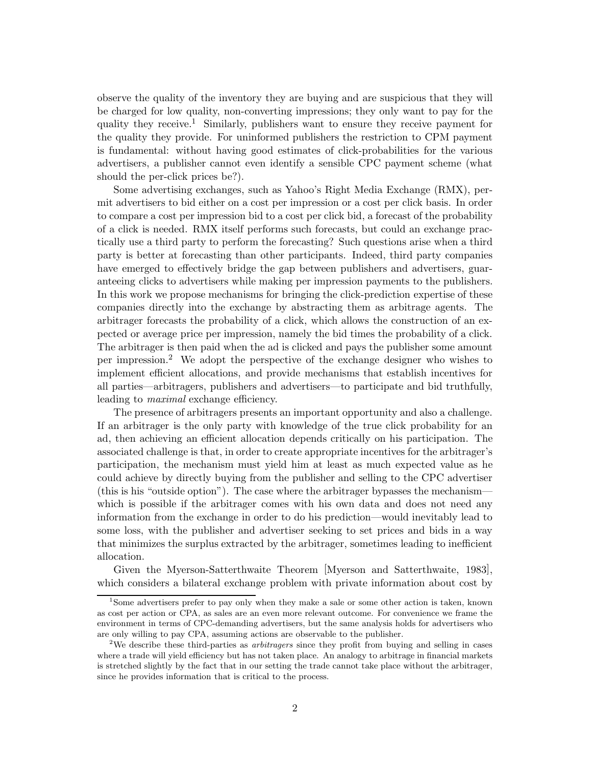observe the quality of the inventory they are buying and are suspicious that they will be charged for low quality, non-converting impressions; they only want to pay for the quality they receive.<sup>1</sup> Similarly, publishers want to ensure they receive payment for the quality they provide. For uninformed publishers the restriction to CPM payment is fundamental: without having good estimates of click-probabilities for the various advertisers, a publisher cannot even identify a sensible CPC payment scheme (what should the per-click prices be?).

Some advertising exchanges, such as Yahoo's Right Media Exchange (RMX), permit advertisers to bid either on a cost per impression or a cost per click basis. In order to compare a cost per impression bid to a cost per click bid, a forecast of the probability of a click is needed. RMX itself performs such forecasts, but could an exchange practically use a third party to perform the forecasting? Such questions arise when a third party is better at forecasting than other participants. Indeed, third party companies have emerged to effectively bridge the gap between publishers and advertisers, guaranteeing clicks to advertisers while making per impression payments to the publishers. In this work we propose mechanisms for bringing the click-prediction expertise of these companies directly into the exchange by abstracting them as arbitrage agents. The arbitrager forecasts the probability of a click, which allows the construction of an expected or average price per impression, namely the bid times the probability of a click. The arbitrager is then paid when the ad is clicked and pays the publisher some amount per impression.<sup>2</sup> We adopt the perspective of the exchange designer who wishes to implement efficient allocations, and provide mechanisms that establish incentives for all parties—arbitragers, publishers and advertisers—to participate and bid truthfully, leading to *maximal* exchange efficiency.

The presence of arbitragers presents an important opportunity and also a challenge. If an arbitrager is the only party with knowledge of the true click probability for an ad, then achieving an efficient allocation depends critically on his participation. The associated challenge is that, in order to create appropriate incentives for the arbitrager's participation, the mechanism must yield him at least as much expected value as he could achieve by directly buying from the publisher and selling to the CPC advertiser (this is his "outside option"). The case where the arbitrager bypasses the mechanism which is possible if the arbitrager comes with his own data and does not need any information from the exchange in order to do his prediction—would inevitably lead to some loss, with the publisher and advertiser seeking to set prices and bids in a way that minimizes the surplus extracted by the arbitrager, sometimes leading to inefficient allocation.

Given the Myerson-Satterthwaite Theorem [Myerson and Satterthwaite, 1983], which considers a bilateral exchange problem with private information about cost by

<sup>1</sup>Some advertisers prefer to pay only when they make a sale or some other action is taken, known as cost per action or CPA, as sales are an even more relevant outcome. For convenience we frame the environment in terms of CPC-demanding advertisers, but the same analysis holds for advertisers who are only willing to pay CPA, assuming actions are observable to the publisher.

<sup>2</sup>We describe these third-parties as *arbitragers* since they profit from buying and selling in cases where a trade will yield efficiency but has not taken place. An analogy to arbitrage in financial markets is stretched slightly by the fact that in our setting the trade cannot take place without the arbitrager, since he provides information that is critical to the process.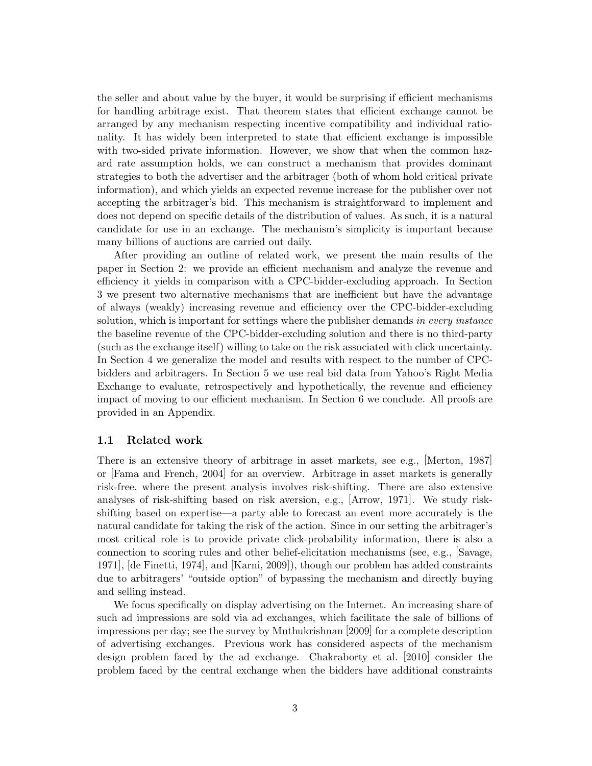the seller and about value by the buyer, it would be surprising if efficient mechanisms for handling arbitrage exist. That theorem states that efficient exchange cannot be arranged by any mechanism respecting incentive compatibility and individual rationality. It has widely been interpreted to state that efficient exchange is impossible with two-sided private information. However, we show that when the common hazard rate assumption holds, we can construct a mechanism that provides dominant strategies to both the advertiser and the arbitrager (both of whom hold critical private information), and which yields an expected revenue increase for the publisher over not accepting the arbitrager's bid. This mechanism is straightforward to implement and does not depend on specific details of the distribution of values. As such, it is a natural candidate for use in an exchange. The mechanism's simplicity is important because many billions of auctions are carried out daily.

After providing an outline of related work, we present the main results of the paper in Section 2: we provide an efficient mechanism and analyze the revenue and efficiency it yields in comparison with a CPC-bidder-excluding approach. In Section 3 we present two alternative mechanisms that are inefficient but have the advantage of always (weakly) increasing revenue and efficiency over the CPC-bidder-excluding solution, which is important for settings where the publisher demands *in every instance* the baseline revenue of the CPC-bidder-excluding solution and there is no third-party (such as the exchange itself) willing to take on the risk associated with click uncertainty. In Section 4 we generalize the model and results with respect to the number of CPCbidders and arbitragers. In Section 5 we use real bid data from Yahoo's Right Media Exchange to evaluate, retrospectively and hypothetically, the revenue and efficiency impact of moving to our efficient mechanism. In Section 6 we conclude. All proofs are provided in an Appendix.

#### **1.1 Related work**

There is an extensive theory of arbitrage in asset markets, see e.g., [Merton, 1987] or [Fama and French, 2004] for an overview. Arbitrage in asset markets is generally risk-free, where the present analysis involves risk-shifting. There are also extensive analyses of risk-shifting based on risk aversion, e.g., [Arrow, 1971]. We study riskshifting based on expertise—a party able to forecast an event more accurately is the natural candidate for taking the risk of the action. Since in our setting the arbitrager's most critical role is to provide private click-probability information, there is also a connection to scoring rules and other belief-elicitation mechanisms (see, e.g., [Savage, 1971], [de Finetti, 1974], and [Karni, 2009]), though our problem has added constraints due to arbitragers' "outside option" of bypassing the mechanism and directly buying and selling instead.

We focus specifically on display advertising on the Internet. An increasing share of such ad impressions are sold via ad exchanges, which facilitate the sale of billions of impressions per day; see the survey by Muthukrishnan [2009] for a complete description of advertising exchanges. Previous work has considered aspects of the mechanism design problem faced by the ad exchange. Chakraborty et al. [2010] consider the problem faced by the central exchange when the bidders have additional constraints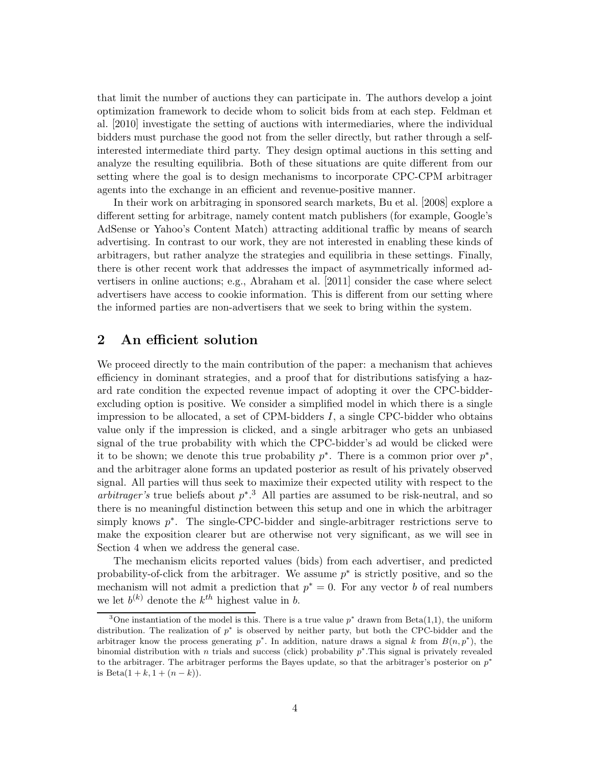that limit the number of auctions they can participate in. The authors develop a joint optimization framework to decide whom to solicit bids from at each step. Feldman et al. [2010] investigate the setting of auctions with intermediaries, where the individual bidders must purchase the good not from the seller directly, but rather through a selfinterested intermediate third party. They design optimal auctions in this setting and analyze the resulting equilibria. Both of these situations are quite different from our setting where the goal is to design mechanisms to incorporate CPC-CPM arbitrager agents into the exchange in an efficient and revenue-positive manner.

In their work on arbitraging in sponsored search markets, Bu et al. [2008] explore a different setting for arbitrage, namely content match publishers (for example, Google's AdSense or Yahoo's Content Match) attracting additional traffic by means of search advertising. In contrast to our work, they are not interested in enabling these kinds of arbitragers, but rather analyze the strategies and equilibria in these settings. Finally, there is other recent work that addresses the impact of asymmetrically informed advertisers in online auctions; e.g., Abraham et al. [2011] consider the case where select advertisers have access to cookie information. This is different from our setting where the informed parties are non-advertisers that we seek to bring within the system.

## **2 An efficient solution**

We proceed directly to the main contribution of the paper: a mechanism that achieves efficiency in dominant strategies, and a proof that for distributions satisfying a hazard rate condition the expected revenue impact of adopting it over the CPC-bidderexcluding option is positive. We consider a simplified model in which there is a single impression to be allocated, a set of CPM-bidders  $I$ , a single CPC-bidder who obtains value only if the impression is clicked, and a single arbitrager who gets an unbiased signal of the true probability with which the CPC-bidder's ad would be clicked were it to be shown; we denote this true probability  $p^*$ . There is a common prior over  $p^*$ , and the arbitrager alone forms an updated posterior as result of his privately observed signal. All parties will thus seek to maximize their expected utility with respect to the *arbitrager's* true beliefs about p∗. <sup>3</sup> All parties are assumed to be risk-neutral, and so there is no meaningful distinction between this setup and one in which the arbitrager simply knows  $p^*$ . The single-CPC-bidder and single-arbitrager restrictions serve to make the exposition clearer but are otherwise not very significant, as we will see in Section 4 when we address the general case.

The mechanism elicits reported values (bids) from each advertiser, and predicted probability-of-click from the arbitrager. We assume  $p^*$  is strictly positive, and so the mechanism will not admit a prediction that  $p^* = 0$ . For any vector b of real numbers we let  $b^{(k)}$  denote the  $k^{th}$  highest value in b.

<sup>3</sup>One instantiation of the model is this. There is a true value *p*<sup>∗</sup> drawn from Beta(1,1), the uniform distribution. The realization of *p*<sup>∗</sup> is observed by neither party, but both the CPC-bidder and the arbitrager know the process generating  $p^*$ . In addition, nature draws a signal k from  $B(n, p^*)$ , the binomial distribution with *n* trials and success (click) probability *p*∗.This signal is privately revealed to the arbitrager. The arbitrager performs the Bayes update, so that the arbitrager's posterior on *p*<sup>∗</sup> is Beta $(1 + k, 1 + (n - k)).$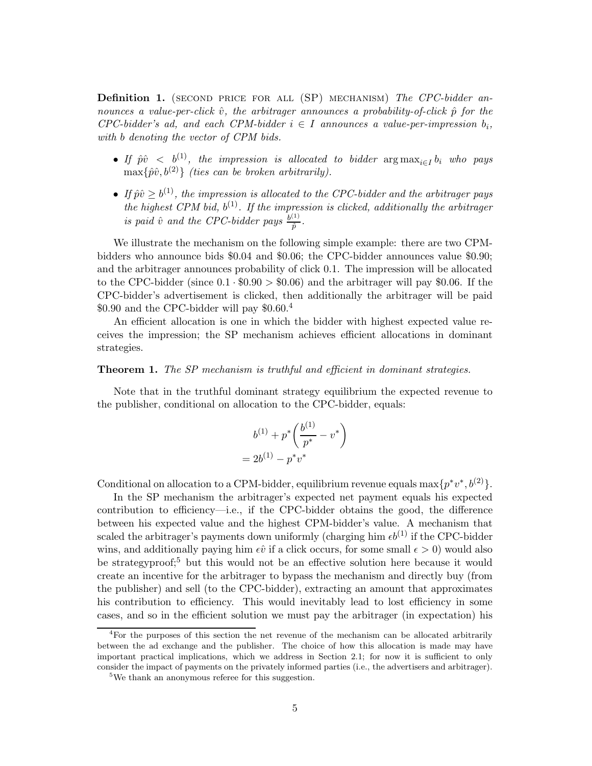**Definition 1.** (second price for all (SP) mechanism) *The CPC-bidder announces a value-per-click*  $\hat{v}$ *, the arbitrager announces a probability-of-click*  $\hat{p}$  *for the CPC-bidder's ad, and each CPM-bidder*  $i \in I$  *announces a value-per-impression*  $b_i$ , *with* b *denoting the vector of CPM bids.*

- *If*  $\hat{p}\hat{v} < b^{(1)}$ , the impression is allocated to bidder  $\arg \max_{i \in I} b_i$  who pays  $\max\{\hat{p}\hat{v}, b^{(2)}\}$  *(ties can be broken arbitrarily).*
- If  $\hat{p}\hat{v} \geq b^{(1)}$ , the impression is allocated to the CPC-bidder and the arbitrager pays *the highest CPM bid,*  $b^{(1)}$ *. If the impression is clicked, additionally the arbitrager is paid*  $\hat{v}$  *and the CPC-bidder pays*  $\frac{b^{(1)}}{\hat{p}}$ .

We illustrate the mechanism on the following simple example: there are two CPMbidders who announce bids \$0.04 and \$0.06; the CPC-bidder announces value \$0.90; and the arbitrager announces probability of click 0.1. The impression will be allocated to the CPC-bidder (since  $0.1 \cdot $0.90 > $0.06$ ) and the arbitrager will pay \$0.06. If the CPC-bidder's advertisement is clicked, then additionally the arbitrager will be paid \$0.90 and the CPC-bidder will pay  $$0.60<sup>4</sup>$ 

An efficient allocation is one in which the bidder with highest expected value receives the impression; the SP mechanism achieves efficient allocations in dominant strategies.

#### **Theorem 1.** *The SP mechanism is truthful and efficient in dominant strategies.*

Note that in the truthful dominant strategy equilibrium the expected revenue to the publisher, conditional on allocation to the CPC-bidder, equals:

$$
b^{(1)} + p^* \left( \frac{b^{(1)}}{p^*} - v^* \right)
$$
  
=  $2b^{(1)} - p^*v^*$ 

Conditional on allocation to a CPM-bidder, equilibrium revenue equals max $\{p^*v^*, b^{(2)}\}.$ 

In the SP mechanism the arbitrager's expected net payment equals his expected contribution to efficiency—i.e., if the CPC-bidder obtains the good, the difference between his expected value and the highest CPM-bidder's value. A mechanism that scaled the arbitrager's payments down uniformly (charging him  $\epsilon b^{(1)}$  if the CPC-bidder wins, and additionally paying him  $\epsilon \hat{v}$  if a click occurs, for some small  $\epsilon > 0$ ) would also be strategyproof;<sup>5</sup> but this would not be an effective solution here because it would create an incentive for the arbitrager to bypass the mechanism and directly buy (from the publisher) and sell (to the CPC-bidder), extracting an amount that approximates his contribution to efficiency. This would inevitably lead to lost efficiency in some cases, and so in the efficient solution we must pay the arbitrager (in expectation) his

<sup>4</sup>For the purposes of this section the net revenue of the mechanism can be allocated arbitrarily between the ad exchange and the publisher. The choice of how this allocation is made may have important practical implications, which we address in Section 2.1; for now it is sufficient to only consider the impact of payments on the privately informed parties (i.e., the advertisers and arbitrager).

<sup>&</sup>lt;sup>5</sup>We thank an anonymous referee for this suggestion.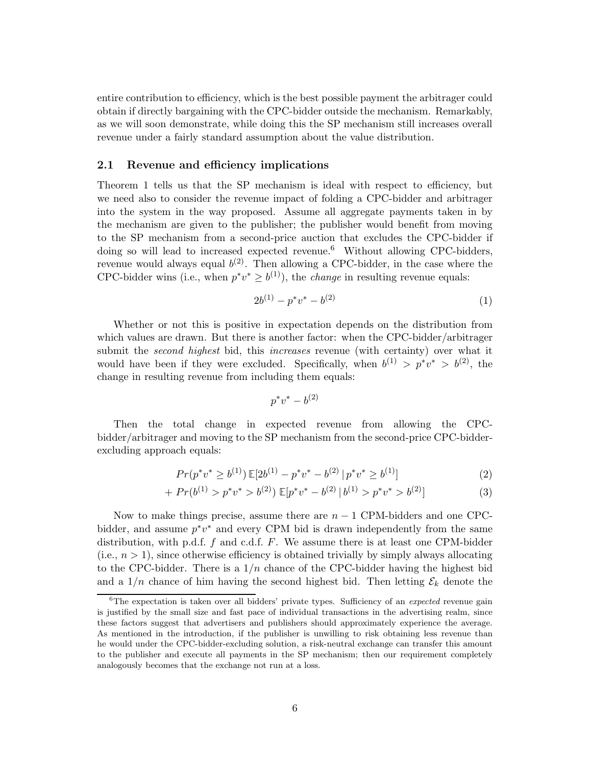entire contribution to efficiency, which is the best possible payment the arbitrager could obtain if directly bargaining with the CPC-bidder outside the mechanism. Remarkably, as we will soon demonstrate, while doing this the SP mechanism still increases overall revenue under a fairly standard assumption about the value distribution.

#### **2.1 Revenue and efficiency implications**

Theorem 1 tells us that the SP mechanism is ideal with respect to efficiency, but we need also to consider the revenue impact of folding a CPC-bidder and arbitrager into the system in the way proposed. Assume all aggregate payments taken in by the mechanism are given to the publisher; the publisher would benefit from moving to the SP mechanism from a second-price auction that excludes the CPC-bidder if doing so will lead to increased expected revenue.<sup>6</sup> Without allowing CPC-bidders, revenue would always equal  $b^{(2)}$ . Then allowing a CPC-bidder, in the case where the CPC-bidder wins (i.e., when  $p^*v^* \geq b^{(1)}$ ), the *change* in resulting revenue equals:

$$
2b^{(1)} - p^*v^* - b^{(2)} \tag{1}
$$

Whether or not this is positive in expectation depends on the distribution from which values are drawn. But there is another factor: when the CPC-bidder/arbitrager submit the *second highest* bid, this *increases* revenue (with certainty) over what it would have been if they were excluded. Specifically, when  $b^{(1)} > p^*v^* > b^{(2)}$ , the change in resulting revenue from including them equals:

$$
p^*v^*-b^{(2)}
$$

Then the total change in expected revenue from allowing the CPCbidder/arbitrager and moving to the SP mechanism from the second-price CPC-bidderexcluding approach equals:

$$
Pr(p^*v^* \ge b^{(1)}) \mathbb{E}[2b^{(1)} - p^*v^* - b^{(2)} | p^*v^* \ge b^{(1)}]
$$
\n(2)

$$
+ Pr(b^{(1)} > p^*v^* > b^{(2)}) \mathbb{E}[p^*v^* - b^{(2)} | b^{(1)} > p^*v^* > b^{(2)}]
$$
\n(3)

Now to make things precise, assume there are  $n - 1$  CPM-bidders and one CPCbidder, and assume  $p^*v^*$  and every CPM bid is drawn independently from the same distribution, with p.d.f. f and c.d.f. F. We assume there is at least one CPM-bidder (i.e.,  $n > 1$ ), since otherwise efficiency is obtained trivially by simply always allocating to the CPC-bidder. There is a  $1/n$  chance of the CPC-bidder having the highest bid and a  $1/n$  chance of him having the second highest bid. Then letting  $\mathcal{E}_k$  denote the

<sup>6</sup>The expectation is taken over all bidders' private types. Sufficiency of an *expected* revenue gain is justified by the small size and fast pace of individual transactions in the advertising realm, since these factors suggest that advertisers and publishers should approximately experience the average. As mentioned in the introduction, if the publisher is unwilling to risk obtaining less revenue than he would under the CPC-bidder-excluding solution, a risk-neutral exchange can transfer this amount to the publisher and execute all payments in the SP mechanism; then our requirement completely analogously becomes that the exchange not run at a loss.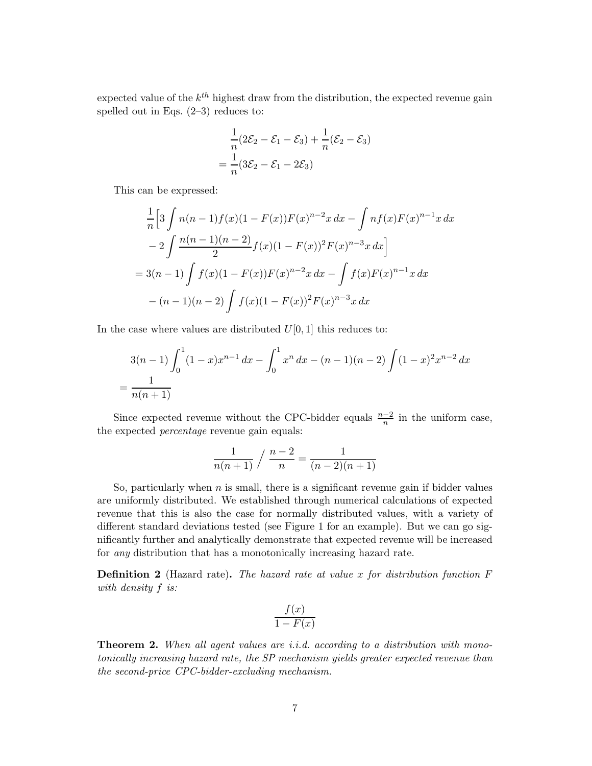expected value of the  $k^{th}$  highest draw from the distribution, the expected revenue gain spelled out in Eqs.  $(2-3)$  reduces to:

$$
\frac{1}{n}(2\mathcal{E}_2 - \mathcal{E}_1 - \mathcal{E}_3) + \frac{1}{n}(\mathcal{E}_2 - \mathcal{E}_3)
$$

$$
= \frac{1}{n}(3\mathcal{E}_2 - \mathcal{E}_1 - 2\mathcal{E}_3)
$$

This can be expressed:

$$
\frac{1}{n}\left[3\int n(n-1)f(x)(1-F(x))F(x)^{n-2}x dx - \int nf(x)F(x)^{n-1}x dx\right]
$$
  

$$
-2\int \frac{n(n-1)(n-2)}{2}f(x)(1-F(x))^2F(x)^{n-3}x dx
$$
  

$$
= 3(n-1)\int f(x)(1-F(x))F(x)^{n-2}x dx - \int f(x)F(x)^{n-1}x dx
$$
  

$$
-(n-1)(n-2)\int f(x)(1-F(x))^2F(x)^{n-3}x dx
$$

In the case where values are distributed  $U[0, 1]$  this reduces to:

$$
3(n-1)\int_0^1 (1-x)x^{n-1} dx - \int_0^1 x^n dx - (n-1)(n-2)\int (1-x)^2 x^{n-2} dx
$$
  
= 
$$
\frac{1}{n(n+1)}
$$

Since expected revenue without the CPC-bidder equals  $\frac{n-2}{n}$  in the uniform case, the expected *percentage* revenue gain equals:

$$
\frac{1}{n(n+1)} / \frac{n-2}{n} = \frac{1}{(n-2)(n+1)}
$$

So, particularly when  $n$  is small, there is a significant revenue gain if bidder values are uniformly distributed. We established through numerical calculations of expected revenue that this is also the case for normally distributed values, with a variety of different standard deviations tested (see Figure 1 for an example). But we can go significantly further and analytically demonstrate that expected revenue will be increased for *any* distribution that has a monotonically increasing hazard rate.

**Definition 2** (Hazard rate)**.** *The hazard rate at value* x *for distribution function* F *with density* f *is:*

$$
\frac{f(x)}{1 - F(x)}
$$

**Theorem 2.** *When all agent values are i.i.d. according to a distribution with monotonically increasing hazard rate, the SP mechanism yields greater expected revenue than the second-price CPC-bidder-excluding mechanism.*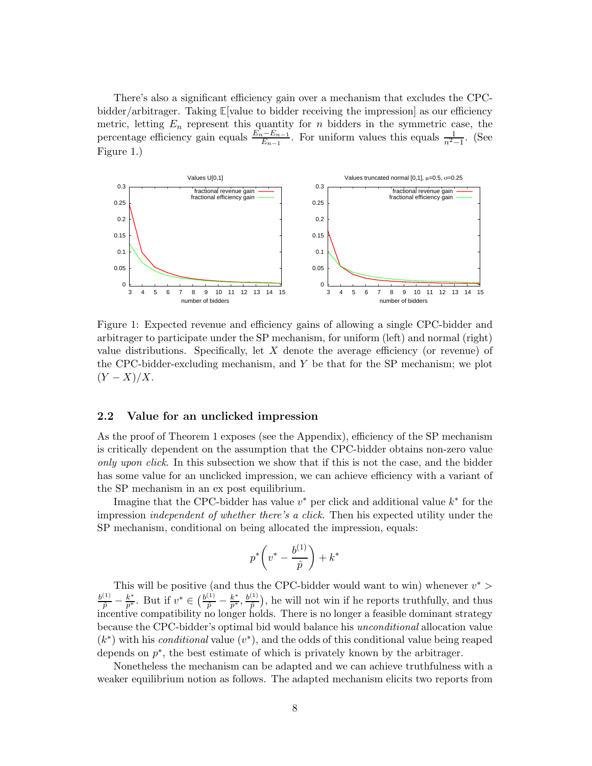There's also a significant efficiency gain over a mechanism that excludes the CPCbidder/arbitrager. Taking **E**[value to bidder receiving the impression] as our efficiency metric, letting  $E_n$  represent this quantity for  $n$  bidders in the symmetric case, the percentage efficiency gain equals  $\frac{E_n - E_{n-1}}{E_{n-1}}$ . For uniform values this equals  $\frac{1}{n^2-1}$ . (See Figure 1.)



Figure 1: Expected revenue and efficiency gains of allowing a single CPC-bidder and arbitrager to participate under the SP mechanism, for uniform (left) and normal (right) value distributions. Specifically, let  $X$  denote the average efficiency (or revenue) of the CPC-bidder-excluding mechanism, and Y be that for the SP mechanism; we plot  $(Y - X)/X$ .

#### **2.2 Value for an unclicked impression**

As the proof of Theorem 1 exposes (see the Appendix), efficiency of the SP mechanism is critically dependent on the assumption that the CPC-bidder obtains non-zero value *only upon click*. In this subsection we show that if this is not the case, and the bidder has some value for an unclicked impression, we can achieve efficiency with a variant of the SP mechanism in an ex post equilibrium.

Imagine that the CPC-bidder has value  $v^*$  per click and additional value  $k^*$  for the impression *independent of whether there's a click*. Then his expected utility under the SP mechanism, conditional on being allocated the impression, equals:

$$
p^*\bigg(v^*-\frac{b^{(1)}}{\hat{p}}\bigg)+k^*
$$

This will be positive (and thus the CPC-bidder would want to win) whenever  $v^*$  $\frac{b^{(1)}}{\hat{p}} - \frac{k^*}{p^*}$ . But if  $v^* \in \left(\frac{b^{(1)}}{\hat{p}} - \frac{k^*}{p^*}, \frac{b^{(1)}}{\hat{p}}\right)$ , he will not win if he reports truthfully, and thus incentive compatibility no longer holds. There is no longer a feasible dominant strategy because the CPC-bidder's optimal bid would balance his *unconditional* allocation value (k∗) with his *conditional* value (v∗), and the odds of this conditional value being reaped depends on  $p^*$ , the best estimate of which is privately known by the arbitrager.

Nonetheless the mechanism can be adapted and we can achieve truthfulness with a weaker equilibrium notion as follows. The adapted mechanism elicits two reports from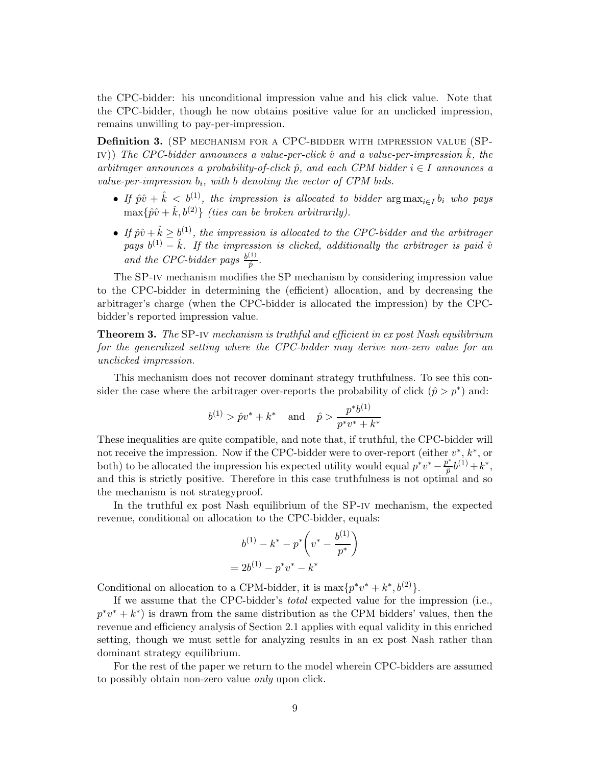the CPC-bidder: his unconditional impression value and his click value. Note that the CPC-bidder, though he now obtains positive value for an unclicked impression, remains unwilling to pay-per-impression.

**Definition 3.** (SP mechanism for a CPC-bidder with impression value (SP- $\Gamma(V)$ ) *The CPC-bidder announces a value-per-click*  $\hat{v}$  *and a value-per-impression*  $\hat{k}$ *, the arbitrager announces a probability-of-click*  $\hat{p}$ , and each CPM bidder  $i \in I$  announces a *value-per-impression* b*i, with* b *denoting the vector of CPM bids.*

- If  $\hat{p}\hat{v} + \hat{k} < b^{(1)}$ , the impression is allocated to bidder  $\arg \max_{i \in I} b_i$  who pays  $\max\{\hat{p}\hat{v} + \hat{k}, b^{(2)}\}$  *(ties can be broken arbitrarily).*
- If  $\hat{p}\hat{v} + \hat{k} \ge b^{(1)}$ , the impression is allocated to the CPC-bidder and the arbitrager *pays*  $b^{(1)} - \hat{k}$ . If the impression is clicked, additionally the arbitrager is paid  $\hat{v}$ and the CPC-bidder pays  $\frac{b^{(1)}}{\hat{p}}$ .

The SP-iv mechanism modifies the SP mechanism by considering impression value to the CPC-bidder in determining the (efficient) allocation, and by decreasing the arbitrager's charge (when the CPC-bidder is allocated the impression) by the CPCbidder's reported impression value.

**Theorem 3.** *The* SP-iv *mechanism is truthful and efficient in ex post Nash equilibrium for the generalized setting where the CPC-bidder may derive non-zero value for an unclicked impression.*

This mechanism does not recover dominant strategy truthfulness. To see this consider the case where the arbitrager over-reports the probability of click  $(\hat{p} > p^*)$  and:

$$
b^{(1)} > \hat{p}v^* + k^*
$$
 and  $\hat{p} > \frac{p^*b^{(1)}}{p^*v^* + k^*}$ 

These inequalities are quite compatible, and note that, if truthful, the CPC-bidder will not receive the impression. Now if the CPC-bidder were to over-report (either  $v^*, k^*$ , or both) to be allocated the impression his expected utility would equal  $p^*v^* - \frac{p^*}{\hat{p}}b^{(1)} + k^*$ , and this is strictly positive. Therefore in this case truthfulness is not optimal and so the mechanism is not strategyproof.

In the truthful ex post Nash equilibrium of the SP-iv mechanism, the expected revenue, conditional on allocation to the CPC-bidder, equals:

$$
b^{(1)} - k^* - p^* \left(v^* - \frac{b^{(1)}}{p^*}\right)
$$
  
=  $2b^{(1)} - p^*v^* - k^*$ 

Conditional on allocation to a CPM-bidder, it is  $\max\{p^*v^* + k^*, b^{(2)}\}.$ 

If we assume that the CPC-bidder's *total* expected value for the impression (i.e.,  $p^*v^* + k^*$ ) is drawn from the same distribution as the CPM bidders' values, then the revenue and efficiency analysis of Section 2.1 applies with equal validity in this enriched setting, though we must settle for analyzing results in an ex post Nash rather than dominant strategy equilibrium.

For the rest of the paper we return to the model wherein CPC-bidders are assumed to possibly obtain non-zero value *only* upon click.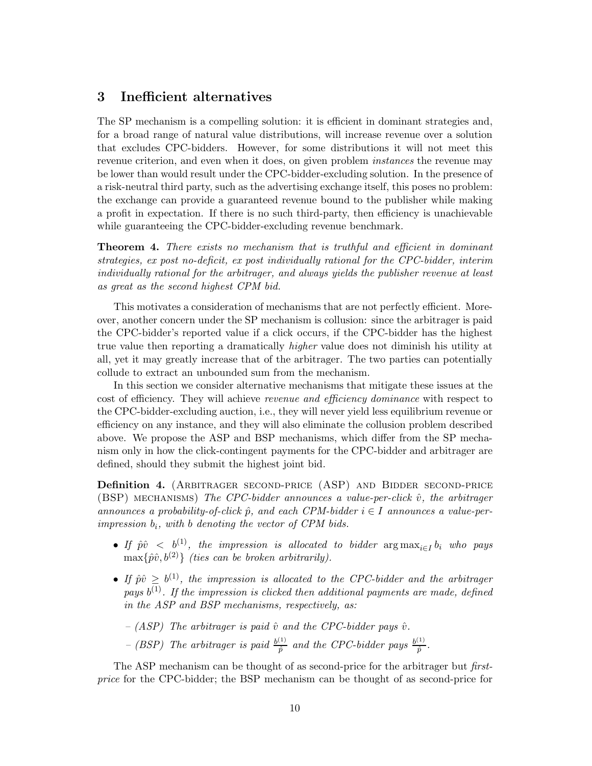# **3 Inefficient alternatives**

The SP mechanism is a compelling solution: it is efficient in dominant strategies and, for a broad range of natural value distributions, will increase revenue over a solution that excludes CPC-bidders. However, for some distributions it will not meet this revenue criterion, and even when it does, on given problem *instances* the revenue may be lower than would result under the CPC-bidder-excluding solution. In the presence of a risk-neutral third party, such as the advertising exchange itself, this poses no problem: the exchange can provide a guaranteed revenue bound to the publisher while making a profit in expectation. If there is no such third-party, then efficiency is unachievable while guaranteeing the CPC-bidder-excluding revenue benchmark.

**Theorem 4.** *There exists no mechanism that is truthful and efficient in dominant strategies, ex post no-deficit, ex post individually rational for the CPC-bidder, interim individually rational for the arbitrager, and always yields the publisher revenue at least as great as the second highest CPM bid.*

This motivates a consideration of mechanisms that are not perfectly efficient. Moreover, another concern under the SP mechanism is collusion: since the arbitrager is paid the CPC-bidder's reported value if a click occurs, if the CPC-bidder has the highest true value then reporting a dramatically *higher* value does not diminish his utility at all, yet it may greatly increase that of the arbitrager. The two parties can potentially collude to extract an unbounded sum from the mechanism.

In this section we consider alternative mechanisms that mitigate these issues at the cost of efficiency. They will achieve *revenue and efficiency dominance* with respect to the CPC-bidder-excluding auction, i.e., they will never yield less equilibrium revenue or efficiency on any instance, and they will also eliminate the collusion problem described above. We propose the ASP and BSP mechanisms, which differ from the SP mechanism only in how the click-contingent payments for the CPC-bidder and arbitrager are defined, should they submit the highest joint bid.

**Definition 4.** (ARBITRAGER SECOND-PRICE (ASP) AND BIDDER SECOND-PRICE  $(BSP)$  MECHANISMS) *The CPC-bidder announces a value-per-click*  $\hat{v}$ *, the arbitrager announces a probability-of-click*  $\hat{p}$ *, and each CPM-bidder*  $i \in I$  *announces a value-perimpression* b*i, with* b *denoting the vector of CPM bids.*

- *If*  $\hat{p}\hat{v} < b^{(1)}$ , the impression is allocated to bidder  $\arg \max_{i \in I} b_i$  who pays  $\max\{\hat{p}\hat{v}, b^{(2)}\}$  *(ties can be broken arbitrarily).*
- *If*  $\hat{p}\hat{v} \geq b^{(1)}$ , the impression is allocated to the CPC-bidder and the arbitrager *pays*  $b^{(1)}$ *. If the impression is clicked then additional payments are made, defined in the ASP and BSP mechanisms, respectively, as:*
	- $-$  (ASP) The arbitrager is paid  $\hat{v}$  and the CPC-bidder pays  $\hat{v}$ .
	- *(BSP)* The arbitrager is paid  $\frac{b^{(1)}}{\hat{p}}$  and the CPC-bidder pays  $\frac{b^{(1)}}{\hat{p}}$ .

The ASP mechanism can be thought of as second-price for the arbitrager but *firstprice* for the CPC-bidder; the BSP mechanism can be thought of as second-price for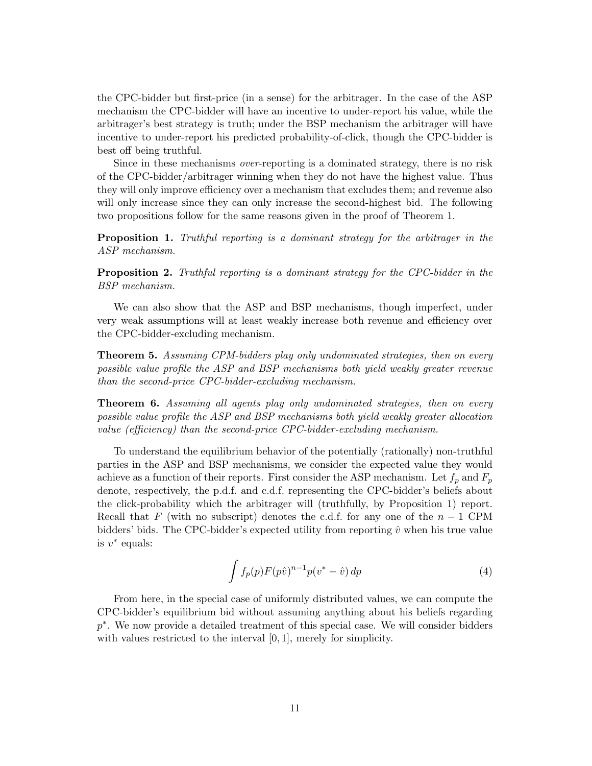the CPC-bidder but first-price (in a sense) for the arbitrager. In the case of the ASP mechanism the CPC-bidder will have an incentive to under-report his value, while the arbitrager's best strategy is truth; under the BSP mechanism the arbitrager will have incentive to under-report his predicted probability-of-click, though the CPC-bidder is best off being truthful.

Since in these mechanisms *over*-reporting is a dominated strategy, there is no risk of the CPC-bidder/arbitrager winning when they do not have the highest value. Thus they will only improve efficiency over a mechanism that excludes them; and revenue also will only increase since they can only increase the second-highest bid. The following two propositions follow for the same reasons given in the proof of Theorem 1.

**Proposition 1.** *Truthful reporting is a dominant strategy for the arbitrager in the ASP mechanism.*

**Proposition 2.** *Truthful reporting is a dominant strategy for the CPC-bidder in the BSP mechanism.*

We can also show that the ASP and BSP mechanisms, though imperfect, under very weak assumptions will at least weakly increase both revenue and efficiency over the CPC-bidder-excluding mechanism.

**Theorem 5.** *Assuming CPM-bidders play only undominated strategies, then on every possible value profile the ASP and BSP mechanisms both yield weakly greater revenue than the second-price CPC-bidder-excluding mechanism.*

**Theorem 6.** *Assuming all agents play only undominated strategies, then on every possible value profile the ASP and BSP mechanisms both yield weakly greater allocation value (efficiency) than the second-price CPC-bidder-excluding mechanism.*

To understand the equilibrium behavior of the potentially (rationally) non-truthful parties in the ASP and BSP mechanisms, we consider the expected value they would achieve as a function of their reports. First consider the ASP mechanism. Let  $f_p$  and  $F_p$ denote, respectively, the p.d.f. and c.d.f. representing the CPC-bidder's beliefs about the click-probability which the arbitrager will (truthfully, by Proposition 1) report. Recall that F (with no subscript) denotes the c.d.f. for any one of the  $n-1$  CPM bidders' bids. The CPC-bidder's expected utility from reporting  $\hat{v}$  when his true value is  $v^*$  equals:

$$
\int f_p(p) F(p\hat{v})^{n-1} p(v^* - \hat{v}) dp \tag{4}
$$

From here, in the special case of uniformly distributed values, we can compute the CPC-bidder's equilibrium bid without assuming anything about his beliefs regarding p∗. We now provide a detailed treatment of this special case. We will consider bidders with values restricted to the interval [0, 1], merely for simplicity.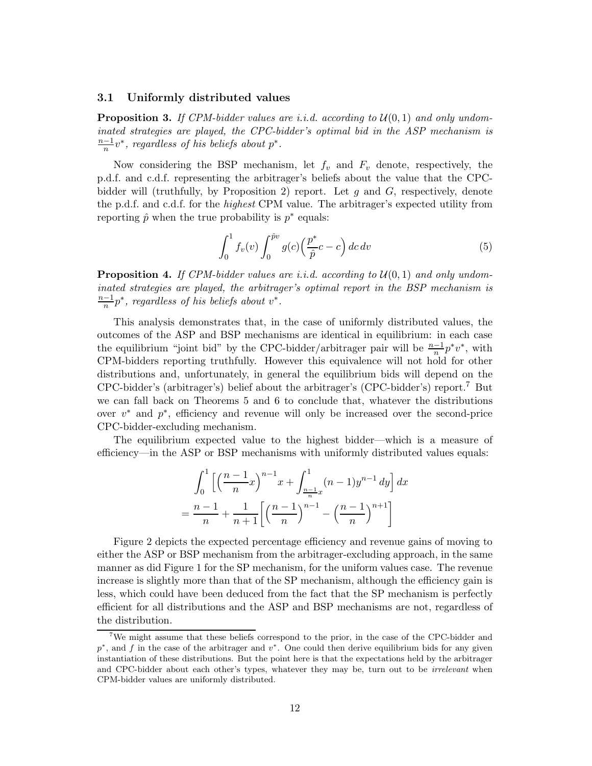#### **3.1 Uniformly distributed values**

**Proposition 3.** If CPM-bidder values are i.i.d. according to  $U(0, 1)$  and only undom*inated strategies are played, the CPC-bidder's optimal bid in the ASP mechanism is*  $\frac{n-1}{n}v^*$ , regardless of his beliefs about  $p^*$ .

Now considering the BSP mechanism, let  $f_v$  and  $F_v$  denote, respectively, the p.d.f. and c.d.f. representing the arbitrager's beliefs about the value that the CPCbidder will (truthfully, by Proposition 2) report. Let  $q$  and  $G$ , respectively, denote the p.d.f. and c.d.f. for the *highest* CPM value. The arbitrager's expected utility from reporting  $\hat{p}$  when the true probability is  $p^*$  equals:

$$
\int_0^1 f_v(v) \int_0^{\hat{p}v} g(c) \left(\frac{p^*}{\hat{p}}c - c\right) dc dv \tag{5}
$$

**Proposition 4.** If CPM-bidder values are *i.i.d.* according to  $U(0, 1)$  and only undom*inated strategies are played, the arbitrager's optimal report in the BSP mechanism is*  $\frac{n-1}{n}p^*$ , regardless of his beliefs about  $v^*$ .

This analysis demonstrates that, in the case of uniformly distributed values, the outcomes of the ASP and BSP mechanisms are identical in equilibrium: in each case the equilibrium "joint bid" by the CPC-bidder/arbitrager pair will be  $\frac{n-1}{n}p^*v^*$ , with CPM-bidders reporting truthfully. However this equivalence will not hold for other distributions and, unfortunately, in general the equilibrium bids will depend on the CPC-bidder's (arbitrager's) belief about the arbitrager's (CPC-bidder's) report.<sup>7</sup> But we can fall back on Theorems 5 and 6 to conclude that, whatever the distributions over  $v^*$  and  $p^*$ , efficiency and revenue will only be increased over the second-price CPC-bidder-excluding mechanism.

The equilibrium expected value to the highest bidder—which is a measure of efficiency—in the ASP or BSP mechanisms with uniformly distributed values equals:

$$
\int_0^1 \left[ \left( \frac{n-1}{n} x \right)^{n-1} x + \int_{\frac{n-1}{n} x}^1 (n-1) y^{n-1} dy \right] dx
$$
  
= 
$$
\frac{n-1}{n} + \frac{1}{n+1} \left[ \left( \frac{n-1}{n} \right)^{n-1} - \left( \frac{n-1}{n} \right)^{n+1} \right]
$$

Figure 2 depicts the expected percentage efficiency and revenue gains of moving to either the ASP or BSP mechanism from the arbitrager-excluding approach, in the same manner as did Figure 1 for the SP mechanism, for the uniform values case. The revenue increase is slightly more than that of the SP mechanism, although the efficiency gain is less, which could have been deduced from the fact that the SP mechanism is perfectly efficient for all distributions and the ASP and BSP mechanisms are not, regardless of the distribution.

<sup>7</sup>We might assume that these beliefs correspond to the prior, in the case of the CPC-bidder and *p*<sup>∗</sup>, and *f* in the case of the arbitrager and *v*<sup>∗</sup>. One could then derive equilibrium bids for any given instantiation of these distributions. But the point here is that the expectations held by the arbitrager and CPC-bidder about each other's types, whatever they may be, turn out to be *irrelevant* when CPM-bidder values are uniformly distributed.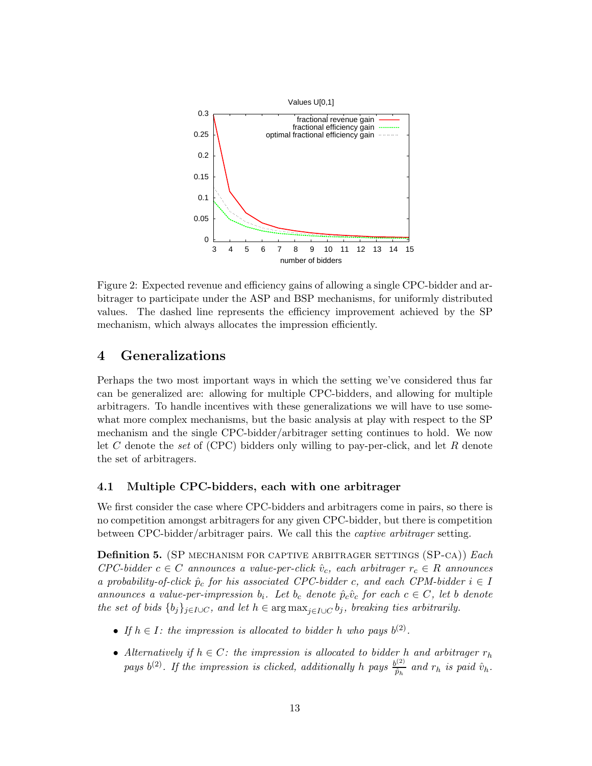

Figure 2: Expected revenue and efficiency gains of allowing a single CPC-bidder and arbitrager to participate under the ASP and BSP mechanisms, for uniformly distributed values. The dashed line represents the efficiency improvement achieved by the SP mechanism, which always allocates the impression efficiently.

# **4 Generalizations**

Perhaps the two most important ways in which the setting we've considered thus far can be generalized are: allowing for multiple CPC-bidders, and allowing for multiple arbitragers. To handle incentives with these generalizations we will have to use somewhat more complex mechanisms, but the basic analysis at play with respect to the SP mechanism and the single CPC-bidder/arbitrager setting continues to hold. We now let C denote the *set* of (CPC) bidders only willing to pay-per-click, and let R denote the set of arbitragers.

### **4.1 Multiple CPC-bidders, each with one arbitrager**

We first consider the case where CPC-bidders and arbitragers come in pairs, so there is no competition amongst arbitragers for any given CPC-bidder, but there is competition between CPC-bidder/arbitrager pairs. We call this the *captive arbitrager* setting.

**Definition 5.** (SP mechanism for captive arbitrager settings (SP-ca)) *Each CPC-bidder*  $c \in C$  *announces* a value-per-click  $\hat{v}_c$ , each arbitrager  $r_c \in R$  *announces a probability-of-click*  $\hat{p}_c$  *for his associated CPC-bidder c, and each CPM-bidder*  $i \in I$ *announces a value-per-impression*  $b_i$ *. Let*  $b_c$  *denote*  $\hat{p}_c \hat{v}_c$  *for each*  $c \in C$ *, let* b *denote the set of bids*  $\{b_j\}_{j \in I \cup C}$ *, and let*  $h \in \arg \max_{j \in I \cup C} b_j$ *, breaking ties arbitrarily.* 

- If  $h \in I$ : the impression is allocated to bidder h who pays  $b^{(2)}$ .
- *Alternatively if*  $h \in C$ *: the impression is allocated to bidder* h and arbitrager  $r_h$ *pays*  $b^{(2)}$ . If the impression is clicked, additionally h pays  $\frac{b^{(2)}}{\hat{p}_h}$  and  $r_h$  is paid  $\hat{v}_h$ .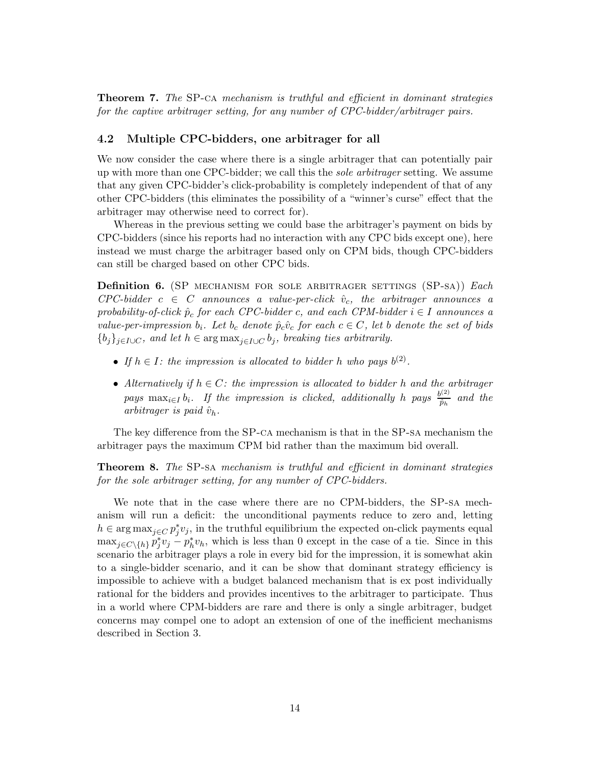**Theorem 7.** *The* SP-ca *mechanism is truthful and efficient in dominant strategies for the captive arbitrager setting, for any number of CPC-bidder/arbitrager pairs.*

#### **4.2 Multiple CPC-bidders, one arbitrager for all**

We now consider the case where there is a single arbitrager that can potentially pair up with more than one CPC-bidder; we call this the *sole arbitrager* setting. We assume that any given CPC-bidder's click-probability is completely independent of that of any other CPC-bidders (this eliminates the possibility of a "winner's curse" effect that the arbitrager may otherwise need to correct for).

Whereas in the previous setting we could base the arbitrager's payment on bids by CPC-bidders (since his reports had no interaction with any CPC bids except one), here instead we must charge the arbitrager based only on CPM bids, though CPC-bidders can still be charged based on other CPC bids.

**Definition 6.** (SP mechanism for sole arbitrager settings (SP-sa)) *Each*  $CPC-bidder$   $c \in C$  *announces a value-per-click*  $\hat{v}_c$ *, the arbitrager announces a probability-of-click*  $\hat{p}_c$  *for each CPC-bidder c, and each CPM-bidder*  $i \in I$  *announces a value-per-impression*  $b_i$ *. Let*  $b_c$  *denote*  $\hat{p}_c \hat{v}_c$  *for each*  $c \in C$ *, let b denote the set of bids*  ${b_j}_{j \in I \cup C}$ *, and let*  $h \in \arg \max_{j \in I \cup C} b_j$ *, breaking ties arbitrarily.* 

- If  $h \in I$ : the impression is allocated to bidder h who pays  $b^{(2)}$ .
- *Alternatively if* h ∈ C*: the impression is allocated to bidder* h *and the arbitrager*  $pays \ \max_{i \in I} b_i$ . If the impression is clicked, additionally h pays  $\frac{b^{(2)}}{\hat{p}_h}$  and the  $arbitrager$  *is paid*  $\hat{v}_h$ *.*

The key difference from the SP-ca mechanism is that in the SP-sa mechanism the arbitrager pays the maximum CPM bid rather than the maximum bid overall.

**Theorem 8.** *The* SP-sa *mechanism is truthful and efficient in dominant strategies for the sole arbitrager setting, for any number of CPC-bidders.*

We note that in the case where there are no CPM-bidders, the SP-sa mechanism will run a deficit: the unconditional payments reduce to zero and, letting  $h \in \arg \max_{j \in C} p_j^* v_j$ , in the truthful equilibrium the expected on-click payments equal  $\max_{j\in C\setminus\{h\}} p_j^* v_j - p_h^* v_h$ , which is less than 0 except in the case of a tie. Since in this scenario the arbitrager plays a role in every bid for the impression, it is somewhat akin to a single-bidder scenario, and it can be show that dominant strategy efficiency is impossible to achieve with a budget balanced mechanism that is ex post individually rational for the bidders and provides incentives to the arbitrager to participate. Thus in a world where CPM-bidders are rare and there is only a single arbitrager, budget concerns may compel one to adopt an extension of one of the inefficient mechanisms described in Section 3.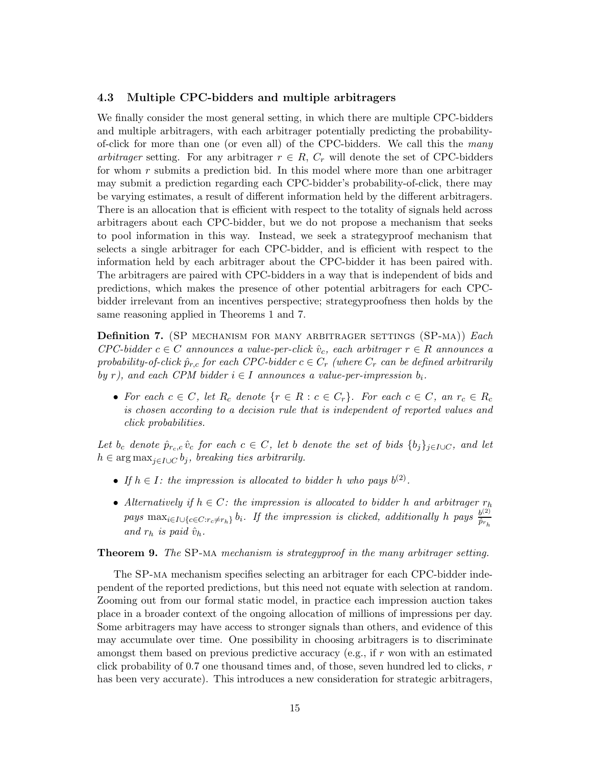#### **4.3 Multiple CPC-bidders and multiple arbitragers**

We finally consider the most general setting, in which there are multiple CPC-bidders and multiple arbitragers, with each arbitrager potentially predicting the probabilityof-click for more than one (or even all) of the CPC-bidders. We call this the *many arbitrager* setting. For any arbitrager  $r \in R$ ,  $C_r$  will denote the set of CPC-bidders for whom  $r$  submits a prediction bid. In this model where more than one arbitrager may submit a prediction regarding each CPC-bidder's probability-of-click, there may be varying estimates, a result of different information held by the different arbitragers. There is an allocation that is efficient with respect to the totality of signals held across arbitragers about each CPC-bidder, but we do not propose a mechanism that seeks to pool information in this way. Instead, we seek a strategyproof mechanism that selects a single arbitrager for each CPC-bidder, and is efficient with respect to the information held by each arbitrager about the CPC-bidder it has been paired with. The arbitragers are paired with CPC-bidders in a way that is independent of bids and predictions, which makes the presence of other potential arbitragers for each CPCbidder irrelevant from an incentives perspective; strategyproofness then holds by the same reasoning applied in Theorems 1 and 7.

**Definition 7.** (SP mechanism for many arbitrager settings (SP-ma)) *Each*  $CPC-bidder$   $\in$  C announces a value-per-click  $\hat{v}_c$ , each arbitrager  $r \in R$  announces a *probability-of-click*  $\hat{p}_{r,c}$  *for each CPC-bidder*  $c \in C_r$  *(where*  $C_r$  *can be defined arbitrarily by* r), and each CPM bidder  $i \in I$  announces a value-per-impression  $b_i$ .

• For each  $c \in C$ , let  $R_c$  denote  $\{r \in R : c \in C_r\}$ . For each  $c \in C$ , an  $r_c \in R_c$ *is chosen according to a decision rule that is independent of reported values and click probabilities.*

*Let*  $b_c$  *denote*  $\hat{p}_{r_c,c}$   $\hat{v}_c$  *for each*  $c \in C$ *, let b denote the set of bids*  $\{b_j\}_{j \in I \cup C}$ *, and let*  $h \in \arg \max_{j \in I \cup C} b_j$ , breaking ties arbitrarily.

- If  $h \in I$ : the impression is allocated to bidder h who pays  $b^{(2)}$ .
- *Alternatively if*  $h \in C$ *: the impression is allocated to bidder* h and arbitrager  $r_h$  $pays$   $\max_{i \in I \cup \{c \in C: r_c \neq r_h\}} b_i$ *. If the impression is clicked, additionally* h *pays*  $\frac{b^{(2)}}{\hat{p}_{r_h}}$  $and r_h$  *is paid*  $\hat{v}_h$ *.*

**Theorem 9.** *The* SP-ma *mechanism is strategyproof in the many arbitrager setting.*

The SP-ma mechanism specifies selecting an arbitrager for each CPC-bidder independent of the reported predictions, but this need not equate with selection at random. Zooming out from our formal static model, in practice each impression auction takes place in a broader context of the ongoing allocation of millions of impressions per day. Some arbitragers may have access to stronger signals than others, and evidence of this may accumulate over time. One possibility in choosing arbitragers is to discriminate amongst them based on previous predictive accuracy (e.g., if r won with an estimated click probability of  $0.7$  one thousand times and, of those, seven hundred led to clicks, r has been very accurate). This introduces a new consideration for strategic arbitragers,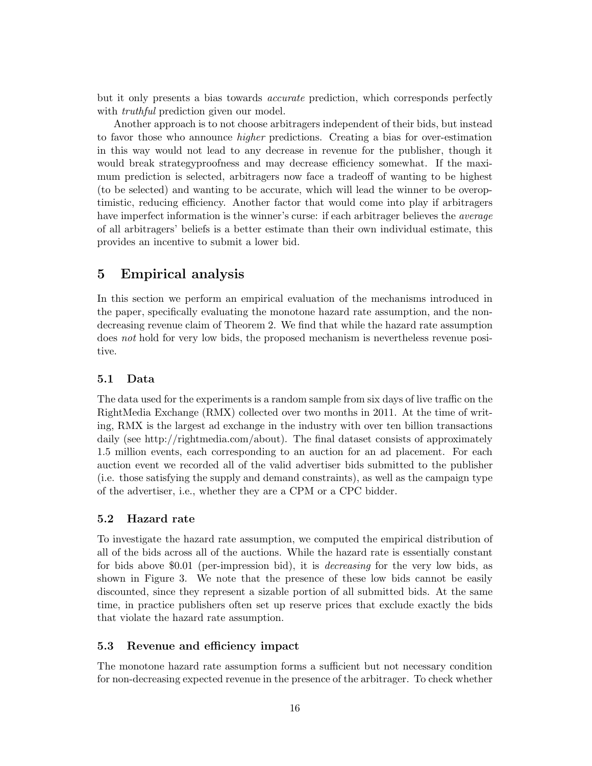but it only presents a bias towards *accurate* prediction, which corresponds perfectly with *truthful* prediction given our model.

Another approach is to not choose arbitragers independent of their bids, but instead to favor those who announce *higher* predictions. Creating a bias for over-estimation in this way would not lead to any decrease in revenue for the publisher, though it would break strategyproofness and may decrease efficiency somewhat. If the maximum prediction is selected, arbitragers now face a tradeoff of wanting to be highest (to be selected) and wanting to be accurate, which will lead the winner to be overoptimistic, reducing efficiency. Another factor that would come into play if arbitragers have imperfect information is the winner's curse: if each arbitrager believes the *average* of all arbitragers' beliefs is a better estimate than their own individual estimate, this provides an incentive to submit a lower bid.

# **5 Empirical analysis**

In this section we perform an empirical evaluation of the mechanisms introduced in the paper, specifically evaluating the monotone hazard rate assumption, and the nondecreasing revenue claim of Theorem 2. We find that while the hazard rate assumption does *not* hold for very low bids, the proposed mechanism is nevertheless revenue positive.

#### **5.1 Data**

The data used for the experiments is a random sample from six days of live traffic on the RightMedia Exchange (RMX) collected over two months in 2011. At the time of writing, RMX is the largest ad exchange in the industry with over ten billion transactions daily (see http://rightmedia.com/about). The final dataset consists of approximately 1.5 million events, each corresponding to an auction for an ad placement. For each auction event we recorded all of the valid advertiser bids submitted to the publisher (i.e. those satisfying the supply and demand constraints), as well as the campaign type of the advertiser, i.e., whether they are a CPM or a CPC bidder.

#### **5.2 Hazard rate**

To investigate the hazard rate assumption, we computed the empirical distribution of all of the bids across all of the auctions. While the hazard rate is essentially constant for bids above \$0.01 (per-impression bid), it is *decreasing* for the very low bids, as shown in Figure 3. We note that the presence of these low bids cannot be easily discounted, since they represent a sizable portion of all submitted bids. At the same time, in practice publishers often set up reserve prices that exclude exactly the bids that violate the hazard rate assumption.

#### **5.3 Revenue and efficiency impact**

The monotone hazard rate assumption forms a sufficient but not necessary condition for non-decreasing expected revenue in the presence of the arbitrager. To check whether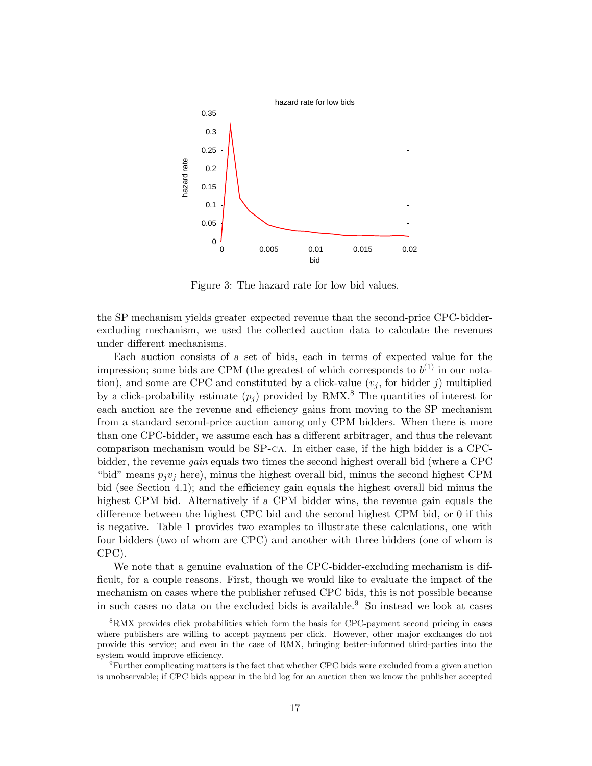

Figure 3: The hazard rate for low bid values.

the SP mechanism yields greater expected revenue than the second-price CPC-bidderexcluding mechanism, we used the collected auction data to calculate the revenues under different mechanisms.

Each auction consists of a set of bids, each in terms of expected value for the impression; some bids are CPM (the greatest of which corresponds to  $b^{(1)}$  in our notation), and some are CPC and constituted by a click-value  $(v_i)$ , for bidder j) multiplied by a click-probability estimate  $(p_i)$  provided by RMX.<sup>8</sup> The quantities of interest for each auction are the revenue and efficiency gains from moving to the SP mechanism from a standard second-price auction among only CPM bidders. When there is more than one CPC-bidder, we assume each has a different arbitrager, and thus the relevant comparison mechanism would be SP-ca. In either case, if the high bidder is a CPCbidder, the revenue *gain* equals two times the second highest overall bid (where a CPC "bid" means  $p_i v_j$  here), minus the highest overall bid, minus the second highest CPM bid (see Section 4.1); and the efficiency gain equals the highest overall bid minus the highest CPM bid. Alternatively if a CPM bidder wins, the revenue gain equals the difference between the highest CPC bid and the second highest CPM bid, or 0 if this is negative. Table 1 provides two examples to illustrate these calculations, one with four bidders (two of whom are CPC) and another with three bidders (one of whom is CPC).

We note that a genuine evaluation of the CPC-bidder-excluding mechanism is difficult, for a couple reasons. First, though we would like to evaluate the impact of the mechanism on cases where the publisher refused CPC bids, this is not possible because in such cases no data on the excluded bids is available.<sup>9</sup> So instead we look at cases

<sup>&</sup>lt;sup>8</sup>RMX provides click probabilities which form the basis for CPC-payment second pricing in cases where publishers are willing to accept payment per click. However, other major exchanges do not provide this service; and even in the case of RMX, bringing better-informed third-parties into the system would improve efficiency.

<sup>9</sup>Further complicating matters is the fact that whether CPC bids were excluded from a given auction is unobservable; if CPC bids appear in the bid log for an auction then we know the publisher accepted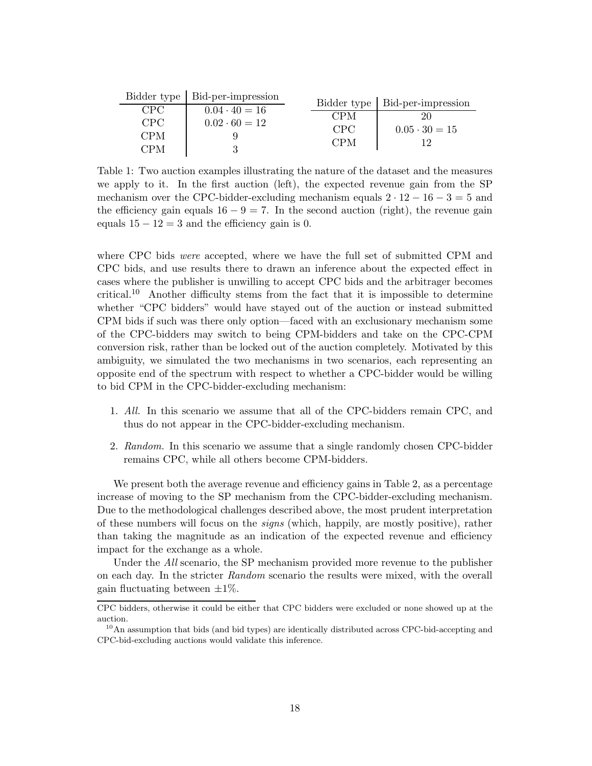|                  | Bidder type   Bid-per-impression |                  | Bidder type   Bid-per-impression |
|------------------|----------------------------------|------------------|----------------------------------|
| CPC              | $0.04 \cdot 40 = 16$             |                  |                                  |
|                  |                                  | <b>CPM</b>       | 20                               |
| CPC <sup>1</sup> | $0.02 \cdot 60 = 12$             | CPC <sup>1</sup> | $0.05 \cdot 30 = 15$             |
| <b>CPM</b>       |                                  |                  |                                  |
|                  |                                  | <b>CPM</b>       | 19                               |
| CPM              |                                  |                  |                                  |

Table 1: Two auction examples illustrating the nature of the dataset and the measures we apply to it. In the first auction (left), the expected revenue gain from the SP mechanism over the CPC-bidder-excluding mechanism equals  $2 \cdot 12 - 16 - 3 = 5$  and the efficiency gain equals  $16 - 9 = 7$ . In the second auction (right), the revenue gain equals  $15 - 12 = 3$  and the efficiency gain is 0.

where CPC bids *were* accepted, where we have the full set of submitted CPM and CPC bids, and use results there to drawn an inference about the expected effect in cases where the publisher is unwilling to accept CPC bids and the arbitrager becomes critical.<sup>10</sup> Another difficulty stems from the fact that it is impossible to determine whether "CPC bidders" would have stayed out of the auction or instead submitted CPM bids if such was there only option—faced with an exclusionary mechanism some of the CPC-bidders may switch to being CPM-bidders and take on the CPC-CPM conversion risk, rather than be locked out of the auction completely. Motivated by this ambiguity, we simulated the two mechanisms in two scenarios, each representing an opposite end of the spectrum with respect to whether a CPC-bidder would be willing to bid CPM in the CPC-bidder-excluding mechanism:

- 1. *All.* In this scenario we assume that all of the CPC-bidders remain CPC, and thus do not appear in the CPC-bidder-excluding mechanism.
- 2. *Random.* In this scenario we assume that a single randomly chosen CPC-bidder remains CPC, while all others become CPM-bidders.

We present both the average revenue and efficiency gains in Table 2, as a percentage increase of moving to the SP mechanism from the CPC-bidder-excluding mechanism. Due to the methodological challenges described above, the most prudent interpretation of these numbers will focus on the *signs* (which, happily, are mostly positive), rather than taking the magnitude as an indication of the expected revenue and efficiency impact for the exchange as a whole.

Under the *All* scenario, the SP mechanism provided more revenue to the publisher on each day. In the stricter *Random* scenario the results were mixed, with the overall gain fluctuating between  $\pm 1\%$ .

CPC bidders, otherwise it could be either that CPC bidders were excluded or none showed up at the auction.

 $10\text{A}$ n assumption that bids (and bid types) are identically distributed across CPC-bid-accepting and CPC-bid-excluding auctions would validate this inference.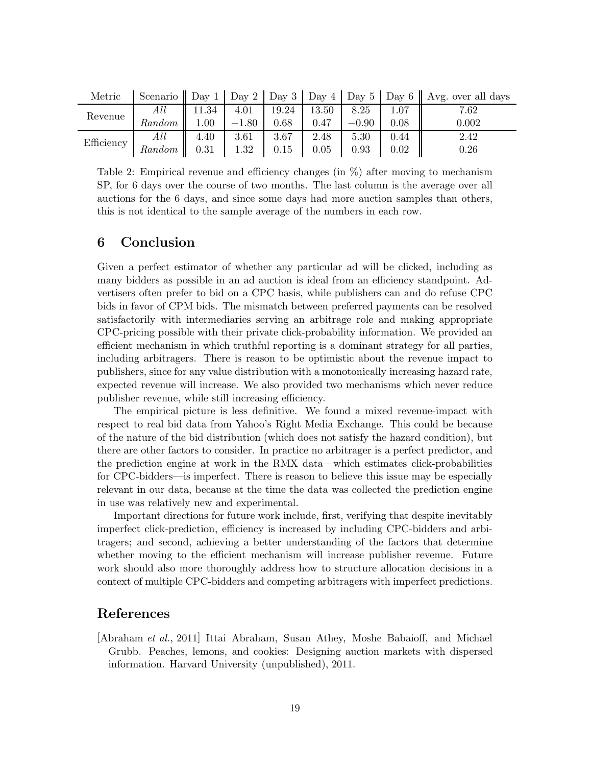| Metric     |        |          |         |       |       |         |          | Scenario $\parallel$ Day 1 $\parallel$ Day 2 $\parallel$ Day 3 $\parallel$ Day 4 $\parallel$ Day 5 $\parallel$ Day 6 $\parallel$ Avg. over all days |
|------------|--------|----------|---------|-------|-------|---------|----------|-----------------------------------------------------------------------------------------------------------------------------------------------------|
| Revenue    | All    | 11.34    | 4.01    | 19.24 | 13.50 | 8.25    |          | 7.62                                                                                                                                                |
|            | Random | $1.00\,$ | $-1.80$ | 0.68  | 0.47  | $-0.90$ | 0.08     | 0.002                                                                                                                                               |
| Efficiency | All    | 4.40     | 3.61    | 3.67  | 2.48  | 5.30    | 0.44     | 2.42                                                                                                                                                |
|            | Random | 0.31     | 1.32    | 0.15  | 0.05  | 0.93    | $0.02\,$ | 0.26                                                                                                                                                |

Table 2: Empirical revenue and efficiency changes (in  $\%$ ) after moving to mechanism SP, for 6 days over the course of two months. The last column is the average over all auctions for the 6 days, and since some days had more auction samples than others, this is not identical to the sample average of the numbers in each row.

### **6 Conclusion**

Given a perfect estimator of whether any particular ad will be clicked, including as many bidders as possible in an ad auction is ideal from an efficiency standpoint. Advertisers often prefer to bid on a CPC basis, while publishers can and do refuse CPC bids in favor of CPM bids. The mismatch between preferred payments can be resolved satisfactorily with intermediaries serving an arbitrage role and making appropriate CPC-pricing possible with their private click-probability information. We provided an efficient mechanism in which truthful reporting is a dominant strategy for all parties, including arbitragers. There is reason to be optimistic about the revenue impact to publishers, since for any value distribution with a monotonically increasing hazard rate, expected revenue will increase. We also provided two mechanisms which never reduce publisher revenue, while still increasing efficiency.

The empirical picture is less definitive. We found a mixed revenue-impact with respect to real bid data from Yahoo's Right Media Exchange. This could be because of the nature of the bid distribution (which does not satisfy the hazard condition), but there are other factors to consider. In practice no arbitrager is a perfect predictor, and the prediction engine at work in the RMX data—which estimates click-probabilities for CPC-bidders—is imperfect. There is reason to believe this issue may be especially relevant in our data, because at the time the data was collected the prediction engine in use was relatively new and experimental.

Important directions for future work include, first, verifying that despite inevitably imperfect click-prediction, efficiency is increased by including CPC-bidders and arbitragers; and second, achieving a better understanding of the factors that determine whether moving to the efficient mechanism will increase publisher revenue. Future work should also more thoroughly address how to structure allocation decisions in a context of multiple CPC-bidders and competing arbitragers with imperfect predictions.

### **References**

[Abraham *et al.*, 2011] Ittai Abraham, Susan Athey, Moshe Babaioff, and Michael Grubb. Peaches, lemons, and cookies: Designing auction markets with dispersed information. Harvard University (unpublished), 2011.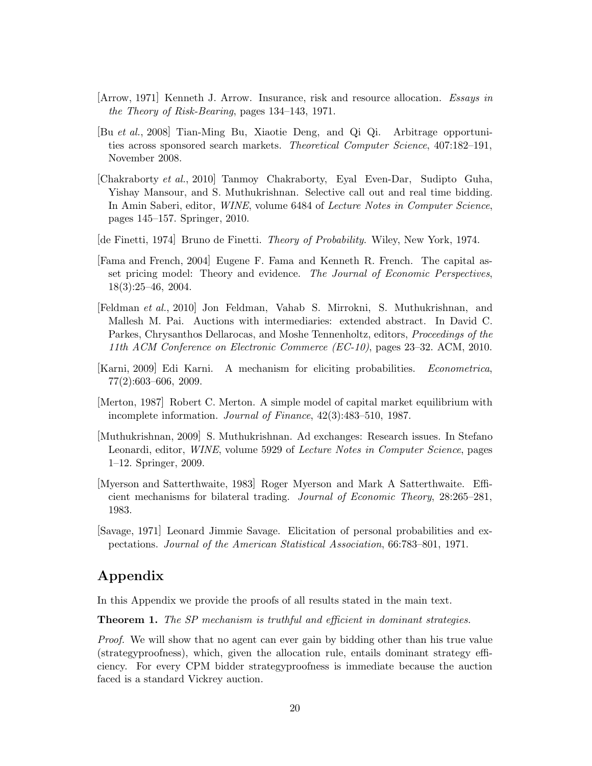- [Arrow, 1971] Kenneth J. Arrow. Insurance, risk and resource allocation. *Essays in the Theory of Risk-Bearing*, pages 134–143, 1971.
- [Bu *et al.*, 2008] Tian-Ming Bu, Xiaotie Deng, and Qi Qi. Arbitrage opportunities across sponsored search markets. *Theoretical Computer Science*, 407:182–191, November 2008.
- [Chakraborty *et al.*, 2010] Tanmoy Chakraborty, Eyal Even-Dar, Sudipto Guha, Yishay Mansour, and S. Muthukrishnan. Selective call out and real time bidding. In Amin Saberi, editor, *WINE*, volume 6484 of *Lecture Notes in Computer Science*, pages 145–157. Springer, 2010.
- [de Finetti, 1974] Bruno de Finetti. *Theory of Probability*. Wiley, New York, 1974.
- [Fama and French, 2004] Eugene F. Fama and Kenneth R. French. The capital asset pricing model: Theory and evidence. *The Journal of Economic Perspectives*, 18(3):25–46, 2004.
- [Feldman *et al.*, 2010] Jon Feldman, Vahab S. Mirrokni, S. Muthukrishnan, and Mallesh M. Pai. Auctions with intermediaries: extended abstract. In David C. Parkes, Chrysanthos Dellarocas, and Moshe Tennenholtz, editors, *Proceedings of the 11th ACM Conference on Electronic Commerce (EC-10)*, pages 23–32. ACM, 2010.
- [Karni, 2009] Edi Karni. A mechanism for eliciting probabilities. *Econometrica*, 77(2):603–606, 2009.
- [Merton, 1987] Robert C. Merton. A simple model of capital market equilibrium with incomplete information. *Journal of Finance*, 42(3):483–510, 1987.
- [Muthukrishnan, 2009] S. Muthukrishnan. Ad exchanges: Research issues. In Stefano Leonardi, editor, *WINE*, volume 5929 of *Lecture Notes in Computer Science*, pages 1–12. Springer, 2009.
- [Myerson and Satterthwaite, 1983] Roger Myerson and Mark A Satterthwaite. Efficient mechanisms for bilateral trading. *Journal of Economic Theory*, 28:265–281, 1983.
- [Savage, 1971] Leonard Jimmie Savage. Elicitation of personal probabilities and expectations. *Journal of the American Statistical Association*, 66:783–801, 1971.

# **Appendix**

In this Appendix we provide the proofs of all results stated in the main text.

**Theorem 1.** *The SP mechanism is truthful and efficient in dominant strategies.*

*Proof.* We will show that no agent can ever gain by bidding other than his true value (strategyproofness), which, given the allocation rule, entails dominant strategy efficiency. For every CPM bidder strategyproofness is immediate because the auction faced is a standard Vickrey auction.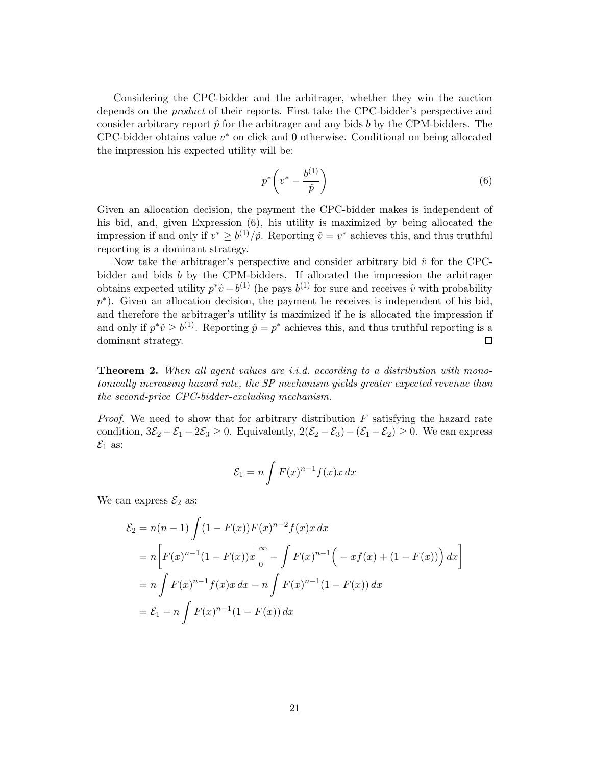Considering the CPC-bidder and the arbitrager, whether they win the auction depends on the *product* of their reports. First take the CPC-bidder's perspective and consider arbitrary report  $\hat{p}$  for the arbitrager and any bids b by the CPM-bidders. The CPC-bidder obtains value  $v^*$  on click and 0 otherwise. Conditional on being allocated the impression his expected utility will be:

$$
p^* \left( v^* - \frac{b^{(1)}}{\hat{p}} \right) \tag{6}
$$

Given an allocation decision, the payment the CPC-bidder makes is independent of his bid, and, given Expression (6), his utility is maximized by being allocated the impression if and only if  $v^* \geq b^{(1)}/\hat{p}$ . Reporting  $\hat{v} = v^*$  achieves this, and thus truthful reporting is a dominant strategy.

Now take the arbitrager's perspective and consider arbitrary bid  $\hat{v}$  for the CPCbidder and bids b by the CPM-bidders. If allocated the impression the arbitrager obtains expected utility  $p^*\hat{v}-b^{(1)}$  (he pays  $b^{(1)}$  for sure and receives  $\hat{v}$  with probability p<sup>∗</sup>). Given an allocation decision, the payment he receives is independent of his bid, and therefore the arbitrager's utility is maximized if he is allocated the impression if and only if  $p^*\hat{v} \geq b^{(1)}$ . Reporting  $\hat{p} = p^*$  achieves this, and thus truthful reporting is a dominant strategy.  $\Box$ 

**Theorem 2.** *When all agent values are i.i.d. according to a distribution with monotonically increasing hazard rate, the SP mechanism yields greater expected revenue than the second-price CPC-bidder-excluding mechanism.*

*Proof.* We need to show that for arbitrary distribution F satisfying the hazard rate condition,  $3\mathcal{E}_2 - \mathcal{E}_1 - 2\mathcal{E}_3 \geq 0$ . Equivalently,  $2(\mathcal{E}_2 - \mathcal{E}_3) - (\mathcal{E}_1 - \mathcal{E}_2) \geq 0$ . We can express  $\mathcal{E}_1$  as:

$$
\mathcal{E}_1 = n \int F(x)^{n-1} f(x) x \, dx
$$

We can express  $\mathcal{E}_2$  as:

$$
\mathcal{E}_2 = n(n-1) \int (1 - F(x)) F(x)^{n-2} f(x) x \, dx
$$
  
=  $n \left[ F(x)^{n-1} (1 - F(x)) x \Big|_0^{\infty} - \int F(x)^{n-1} \Big( -xf(x) + (1 - F(x)) \Big) \, dx \right]$   
=  $n \int F(x)^{n-1} f(x) x \, dx - n \int F(x)^{n-1} (1 - F(x)) \, dx$   
=  $\mathcal{E}_1 - n \int F(x)^{n-1} (1 - F(x)) \, dx$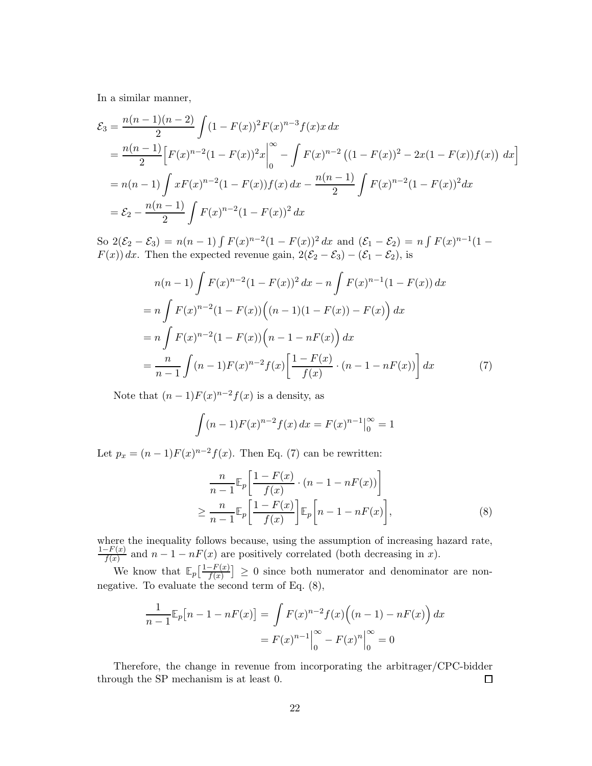In a similar manner,

$$
\mathcal{E}_3 = \frac{n(n-1)(n-2)}{2} \int (1 - F(x))^2 F(x)^{n-3} f(x) x \, dx
$$
  
= 
$$
\frac{n(n-1)}{2} \Big[ F(x)^{n-2} (1 - F(x))^2 x \Big|_0^\infty - \int F(x)^{n-2} \left( (1 - F(x))^2 - 2x (1 - F(x)) f(x) \right) \, dx \Big]
$$
  
= 
$$
n(n-1) \int x F(x)^{n-2} (1 - F(x)) f(x) \, dx - \frac{n(n-1)}{2} \int F(x)^{n-2} (1 - F(x))^2 \, dx
$$
  
= 
$$
\mathcal{E}_2 - \frac{n(n-1)}{2} \int F(x)^{n-2} (1 - F(x))^2 \, dx
$$

So  $2(\mathcal{E}_2 - \mathcal{E}_3) = n(n-1) \int F(x)^{n-2} (1 - F(x))^2 dx$  and  $(\mathcal{E}_1 - \mathcal{E}_2) = n \int F(x)^{n-1} (1 F(x)$  dx. Then the expected revenue gain,  $2(\mathcal{E}_2 - \mathcal{E}_3) - (\mathcal{E}_1 - \mathcal{E}_2)$ , is

$$
n(n-1)\int F(x)^{n-2}(1-F(x))^2 dx - n \int F(x)^{n-1}(1-F(x)) dx
$$
  
=  $n \int F(x)^{n-2}(1-F(x))((n-1)(1-F(x))-F(x)) dx$   
=  $n \int F(x)^{n-2}(1-F(x)) (n-1-nF(x)) dx$   
=  $\frac{n}{n-1} \int (n-1)F(x)^{n-2} f(x) \left[ \frac{1-F(x)}{f(x)} \cdot (n-1-nF(x)) \right] dx$  (7)

Note that  $(n-1)F(x)^{n-2}f(x)$  is a density, as

$$
\int (n-1)F(x)^{n-2}f(x) dx = F(x)^{n-1}\Big|_0^\infty = 1
$$

Let  $p_x = (n-1)F(x)^{n-2}f(x)$ . Then Eq. (7) can be rewritten:

$$
\frac{n}{n-1} \mathbb{E}_p \left[ \frac{1 - F(x)}{f(x)} \cdot (n - 1 - nF(x)) \right]
$$
\n
$$
\geq \frac{n}{n-1} \mathbb{E}_p \left[ \frac{1 - F(x)}{f(x)} \right] \mathbb{E}_p \left[ n - 1 - nF(x) \right],
$$
\n(8)

where the inequality follows because, using the assumption of increasing hazard rate,  $\frac{1-F(x)}{f(x)}$  and  $n-1-nF(x)$  are positively correlated (both decreasing in x).

We know that  $\mathbb{E}_p\left[\frac{1-F(x)}{f(x)}\right] \geq 0$  since both numerator and denominator are nonnegative. To evaluate the second term of Eq. (8),

$$
\frac{1}{n-1} \mathbb{E}_p[n-1 - nF(x)] = \int F(x)^{n-2} f(x) ((n-1) - nF(x)) dx
$$

$$
= F(x)^{n-1} \Big|_0^{\infty} - F(x)^n \Big|_0^{\infty} = 0
$$

Therefore, the change in revenue from incorporating the arbitrager/CPC-bidder through the SP mechanism is at least 0.  $\Box$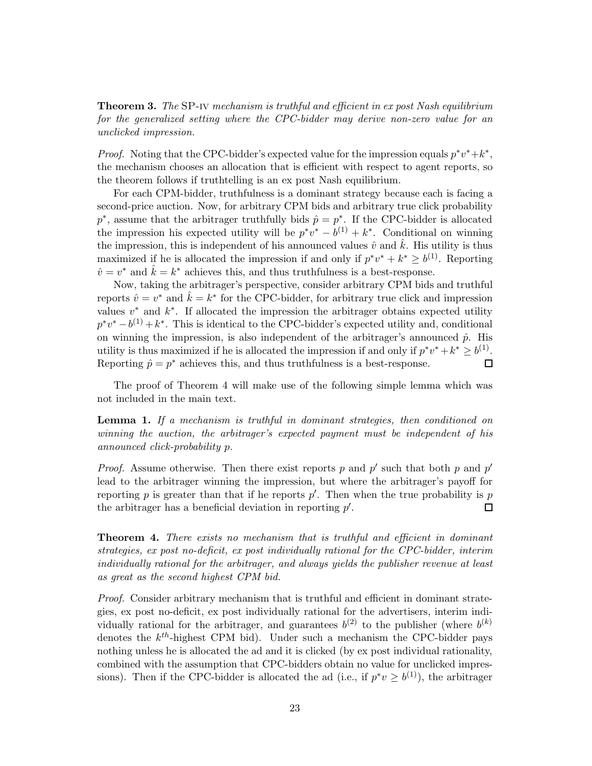**Theorem 3.** *The* SP-iv *mechanism is truthful and efficient in ex post Nash equilibrium for the generalized setting where the CPC-bidder may derive non-zero value for an unclicked impression.*

*Proof.* Noting that the CPC-bidder's expected value for the impression equals  $p^*v^*+k^*$ , the mechanism chooses an allocation that is efficient with respect to agent reports, so the theorem follows if truthtelling is an ex post Nash equilibrium.

For each CPM-bidder, truthfulness is a dominant strategy because each is facing a second-price auction. Now, for arbitrary CPM bids and arbitrary true click probability  $p^*$ , assume that the arbitrager truthfully bids  $\hat{p} = p^*$ . If the CPC-bidder is allocated the impression his expected utility will be  $p^*v^* - b^{(1)} + k^*$ . Conditional on winning the impression, this is independent of his announced values  $\hat{v}$  and  $\hat{k}$ . His utility is thus maximized if he is allocated the impression if and only if  $p^*v^* + k^* \geq b^{(1)}$ . Reporting  $\hat{v} = v^*$  and  $\hat{k} = k^*$  achieves this, and thus truthfulness is a best-response.

Now, taking the arbitrager's perspective, consider arbitrary CPM bids and truthful reports  $\hat{v} = v^*$  and  $\hat{k} = k^*$  for the CPC-bidder, for arbitrary true click and impression values  $v^*$  and  $k^*$ . If allocated the impression the arbitrager obtains expected utility  $p^*v^* - b^{(1)} + k^*$ . This is identical to the CPC-bidder's expected utility and, conditional on winning the impression, is also independent of the arbitrager's announced  $\hat{p}$ . His utility is thus maximized if he is allocated the impression if and only if  $p^*v^* + k^* \geq b^{(1)}$ . Reporting  $\hat{p} = p^*$  achieves this, and thus truthfulness is a best-response.  $\Box$ 

The proof of Theorem 4 will make use of the following simple lemma which was not included in the main text.

**Lemma 1.** *If a mechanism is truthful in dominant strategies, then conditioned on winning the auction, the arbitrager's expected payment must be independent of his announced click-probability* p*.*

*Proof.* Assume otherwise. Then there exist reports p and p' such that both p and p' lead to the arbitrager winning the impression, but where the arbitrager's payoff for reporting p is greater than that if he reports  $p'$ . Then when the true probability is p the arbitrager has a beneficial deviation in reporting  $p'$ .  $\Box$ 

**Theorem 4.** *There exists no mechanism that is truthful and efficient in dominant strategies, ex post no-deficit, ex post individually rational for the CPC-bidder, interim individually rational for the arbitrager, and always yields the publisher revenue at least as great as the second highest CPM bid.*

*Proof.* Consider arbitrary mechanism that is truthful and efficient in dominant strategies, ex post no-deficit, ex post individually rational for the advertisers, interim individually rational for the arbitrager, and guarantees  $b^{(2)}$  to the publisher (where  $b^{(k)}$ ) denotes the k*th*-highest CPM bid). Under such a mechanism the CPC-bidder pays nothing unless he is allocated the ad and it is clicked (by ex post individual rationality, combined with the assumption that CPC-bidders obtain no value for unclicked impressions). Then if the CPC-bidder is allocated the ad (i.e., if  $p^*v > b^{(1)}$ ), the arbitrager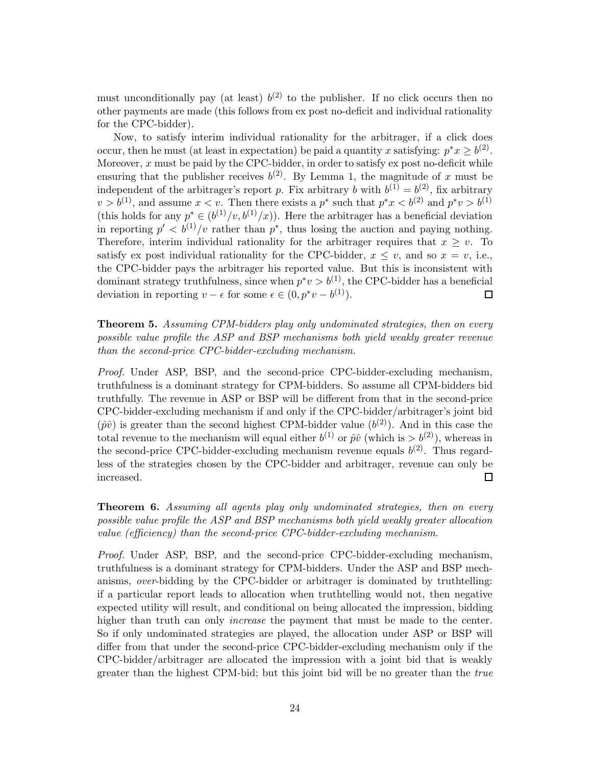must unconditionally pay (at least)  $b^{(2)}$  to the publisher. If no click occurs then no other payments are made (this follows from ex post no-deficit and individual rationality for the CPC-bidder).

Now, to satisfy interim individual rationality for the arbitrager, if a click does occur, then he must (at least in expectation) be paid a quantity x satisfying:  $p^*x > b^{(2)}$ . Moreover,  $x$  must be paid by the CPC-bidder, in order to satisfy ex post no-deficit while ensuring that the publisher receives  $b^{(2)}$ . By Lemma 1, the magnitude of x must be independent of the arbitrager's report p. Fix arbitrary b with  $b^{(1)} = b^{(2)}$ , fix arbitrary  $v>b^{(1)}$ , and assume  $x < v$ . Then there exists a  $p^*$  such that  $p^*x < b^{(2)}$  and  $p^*v > b^{(1)}$ (this holds for any  $p^* \in (b^{(1)}/v, b^{(1)}/x)$ ). Here the arbitrager has a beneficial deviation in reporting  $p' < b^{(1)}/v$  rather than  $p^*$ , thus losing the auction and paying nothing. Therefore, interim individual rationality for the arbitrager requires that  $x \geq v$ . To satisfy ex post individual rationality for the CPC-bidder,  $x \leq v$ , and so  $x = v$ , i.e., the CPC-bidder pays the arbitrager his reported value. But this is inconsistent with dominant strategy truthfulness, since when  $p^*v > b^{(1)}$ , the CPC-bidder has a beneficial deviation in reporting  $v - \epsilon$  for some  $\epsilon \in (0, p^*v - b^{(1)})$ .  $\Box$ 

### **Theorem 5.** *Assuming CPM-bidders play only undominated strategies, then on every possible value profile the ASP and BSP mechanisms both yield weakly greater revenue than the second-price CPC-bidder-excluding mechanism.*

*Proof.* Under ASP, BSP, and the second-price CPC-bidder-excluding mechanism, truthfulness is a dominant strategy for CPM-bidders. So assume all CPM-bidders bid truthfully. The revenue in ASP or BSP will be different from that in the second-price CPC-bidder-excluding mechanism if and only if the CPC-bidder/arbitrager's joint bid  $(\hat{p}\hat{v})$  is greater than the second highest CPM-bidder value  $(b^{(2)})$ . And in this case the total revenue to the mechanism will equal either  $b^{(1)}$  or  $\hat{p}\hat{v}$  (which is  $> b^{(2)}$ ), whereas in the second-price CPC-bidder-excluding mechanism revenue equals  $b^{(2)}$ . Thus regardless of the strategies chosen by the CPC-bidder and arbitrager, revenue can only be increased.  $\Box$ 

**Theorem 6.** *Assuming all agents play only undominated strategies, then on every possible value profile the ASP and BSP mechanisms both yield weakly greater allocation value (efficiency) than the second-price CPC-bidder-excluding mechanism.*

*Proof.* Under ASP, BSP, and the second-price CPC-bidder-excluding mechanism, truthfulness is a dominant strategy for CPM-bidders. Under the ASP and BSP mechanisms, *over*-bidding by the CPC-bidder or arbitrager is dominated by truthtelling: if a particular report leads to allocation when truthtelling would not, then negative expected utility will result, and conditional on being allocated the impression, bidding higher than truth can only *increase* the payment that must be made to the center. So if only undominated strategies are played, the allocation under ASP or BSP will differ from that under the second-price CPC-bidder-excluding mechanism only if the CPC-bidder/arbitrager are allocated the impression with a joint bid that is weakly greater than the highest CPM-bid; but this joint bid will be no greater than the *true*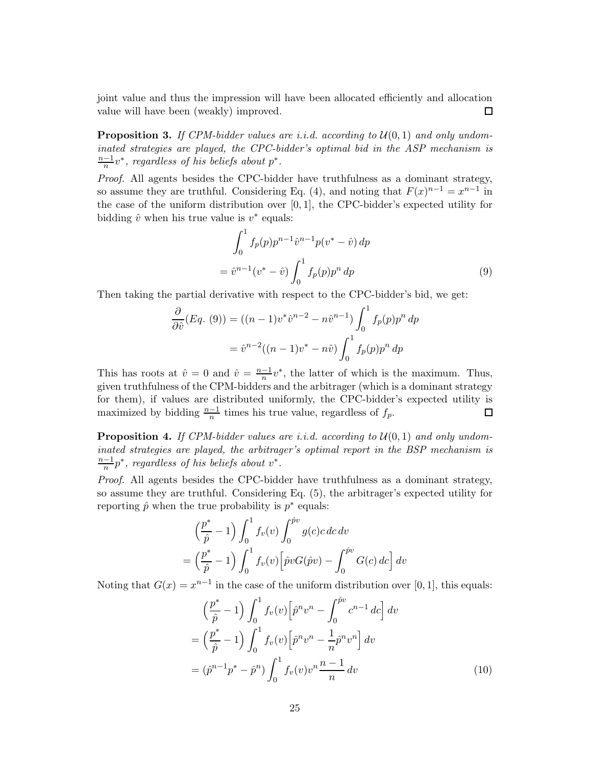joint value and thus the impression will have been allocated efficiently and allocation value will have been (weakly) improved.  $\Box$ 

**Proposition 3.** If CPM-bidder values are i.i.d. according to  $U(0, 1)$  and only undom*inated strategies are played, the CPC-bidder's optimal bid in the ASP mechanism is*  $\frac{n-1}{n}v^*$ , regardless of his beliefs about  $p^*$ .

*Proof.* All agents besides the CPC-bidder have truthfulness as a dominant strategy, so assume they are truthful. Considering Eq. (4), and noting that  $F(x)^{n-1} = x^{n-1}$  in the case of the uniform distribution over [0, 1], the CPC-bidder's expected utility for bidding  $\hat{v}$  when his true value is  $v^*$  equals:

$$
\int_0^1 f_p(p) p^{n-1} \hat{v}^{n-1} p(v^* - \hat{v}) dp
$$
  
=  $\hat{v}^{n-1}(v^* - \hat{v}) \int_0^1 f_p(p) p^n dp$  (9)

Then taking the partial derivative with respect to the CPC-bidder's bid, we get:

$$
\frac{\partial}{\partial \hat{v}}(Eq. (9)) = ((n-1)v^*\hat{v}^{n-2} - n\hat{v}^{n-1}) \int_0^1 f_p(p)p^n dp
$$

$$
= \hat{v}^{n-2}((n-1)v^* - n\hat{v}) \int_0^1 f_p(p)p^n dp
$$

This has roots at  $\hat{v} = 0$  and  $\hat{v} = \frac{n-1}{n}v^*$ , the latter of which is the maximum. Thus, given truthfulness of the CPM-bidders and the arbitrager (which is a dominant strategy for them), if values are distributed uniformly, the CPC-bidder's expected utility is maximized by bidding  $\frac{n-1}{n}$  times his true value, regardless of  $f_p$ .  $\Box$ 

**Proposition 4.** If CPM-bidder values are *i.i.d.* according to  $U(0,1)$  and only undom*inated strategies are played, the arbitrager's optimal report in the BSP mechanism is*  $\frac{n-1}{n}p^*$ , regardless of his beliefs about  $v^*$ .

*Proof.* All agents besides the CPC-bidder have truthfulness as a dominant strategy, so assume they are truthful. Considering Eq. (5), the arbitrager's expected utility for reporting  $\hat{p}$  when the true probability is  $p^*$  equals:

$$
\left(\frac{p^*}{\hat{p}} - 1\right) \int_0^1 f_v(v) \int_0^{\hat{p}v} g(c)c \, dc \, dv
$$

$$
= \left(\frac{p^*}{\hat{p}} - 1\right) \int_0^1 f_v(v) \left[\hat{p}vG(\hat{p}v) - \int_0^{\hat{p}v} G(c) \, dc\right] dv
$$

Noting that  $G(x) = x^{n-1}$  in the case of the uniform distribution over [0, 1], this equals:

$$
\left(\frac{p^*}{\hat{p}} - 1\right) \int_0^1 f_v(v) \left[\hat{p}^n v^n - \int_0^{\hat{p}v} c^{n-1} \, dc\right] \, dv
$$
\n
$$
= \left(\frac{p^*}{\hat{p}} - 1\right) \int_0^1 f_v(v) \left[\hat{p}^n v^n - \frac{1}{n} \hat{p}^n v^n\right] \, dv
$$
\n
$$
= \left(\hat{p}^{n-1} p^* - \hat{p}^n\right) \int_0^1 f_v(v) v^n \frac{n-1}{n} \, dv \tag{10}
$$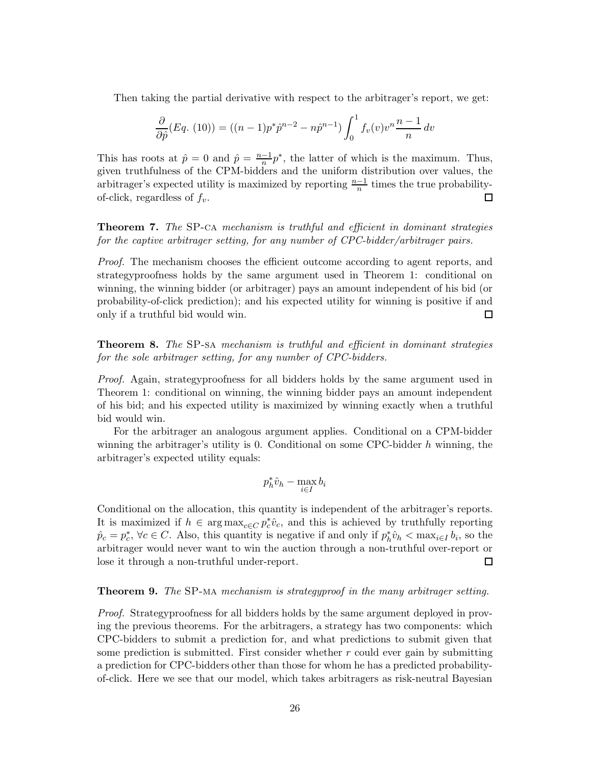Then taking the partial derivative with respect to the arbitrager's report, we get:

$$
\frac{\partial}{\partial \hat{p}}(Eq. (10)) = ((n-1)p^*\hat{p}^{n-2} - n\hat{p}^{n-1}) \int_0^1 f_v(v) v^n \frac{n-1}{n} dv
$$

This has roots at  $\hat{p} = 0$  and  $\hat{p} = \frac{n-1}{n}p^*$ , the latter of which is the maximum. Thus, given truthfulness of the CPM-bidders and the uniform distribution over values, the arbitrager's expected utility is maximized by reporting  $\frac{n-1}{n}$  times the true probabilityof-click, regardless of f*v*.

**Theorem 7.** *The* SP-ca *mechanism is truthful and efficient in dominant strategies for the captive arbitrager setting, for any number of CPC-bidder/arbitrager pairs.*

*Proof.* The mechanism chooses the efficient outcome according to agent reports, and strategyproofness holds by the same argument used in Theorem 1: conditional on winning, the winning bidder (or arbitrager) pays an amount independent of his bid (or probability-of-click prediction); and his expected utility for winning is positive if and only if a truthful bid would win. □

**Theorem 8.** *The* SP-sa *mechanism is truthful and efficient in dominant strategies for the sole arbitrager setting, for any number of CPC-bidders.*

*Proof.* Again, strategyproofness for all bidders holds by the same argument used in Theorem 1: conditional on winning, the winning bidder pays an amount independent of his bid; and his expected utility is maximized by winning exactly when a truthful bid would win.

For the arbitrager an analogous argument applies. Conditional on a CPM-bidder winning the arbitrager's utility is 0. Conditional on some CPC-bidder  $h$  winning, the arbitrager's expected utility equals:

$$
p_h^* \hat{v}_h - \max_{i \in I} b_i
$$

Conditional on the allocation, this quantity is independent of the arbitrager's reports. It is maximized if  $h \in \arg \max_{c \in C} p_c^* \hat{v}_c$ , and this is achieved by truthfully reporting  $\hat{p}_c = p_c^*$ ,  $\forall c \in C$ . Also, this quantity is negative if and only if  $p_h^* \hat{v}_h < \max_{i \in I} b_i$ , so the arbitrager would never want to win the auction through a non-truthful over-report or lose it through a non-truthful under-report.  $\Box$ 

#### **Theorem 9.** *The* SP-ma *mechanism is strategyproof in the many arbitrager setting.*

*Proof.* Strategyproofness for all bidders holds by the same argument deployed in proving the previous theorems. For the arbitragers, a strategy has two components: which CPC-bidders to submit a prediction for, and what predictions to submit given that some prediction is submitted. First consider whether  $r$  could ever gain by submitting a prediction for CPC-bidders other than those for whom he has a predicted probabilityof-click. Here we see that our model, which takes arbitragers as risk-neutral Bayesian